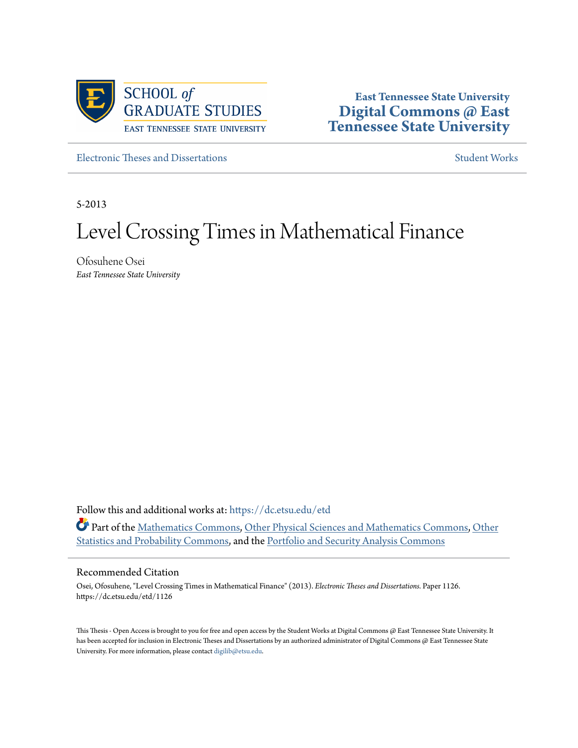

**East Tennessee State University [Digital Commons @ East](https://dc.etsu.edu?utm_source=dc.etsu.edu%2Fetd%2F1126&utm_medium=PDF&utm_campaign=PDFCoverPages) [Tennessee State University](https://dc.etsu.edu?utm_source=dc.etsu.edu%2Fetd%2F1126&utm_medium=PDF&utm_campaign=PDFCoverPages)**

[Electronic Theses and Dissertations](https://dc.etsu.edu/etd?utm_source=dc.etsu.edu%2Fetd%2F1126&utm_medium=PDF&utm_campaign=PDFCoverPages) [Student Works](https://dc.etsu.edu/student-works?utm_source=dc.etsu.edu%2Fetd%2F1126&utm_medium=PDF&utm_campaign=PDFCoverPages) Student Works Student Works

5-2013

# Level Crossing Times in Mathematical Finance

Ofosuhene Osei *East Tennessee State University*

Follow this and additional works at: [https://dc.etsu.edu/etd](https://dc.etsu.edu/etd?utm_source=dc.etsu.edu%2Fetd%2F1126&utm_medium=PDF&utm_campaign=PDFCoverPages) Part of the [Mathematics Commons](http://network.bepress.com/hgg/discipline/174?utm_source=dc.etsu.edu%2Fetd%2F1126&utm_medium=PDF&utm_campaign=PDFCoverPages), [Other Physical Sciences and Mathematics Commons](http://network.bepress.com/hgg/discipline/216?utm_source=dc.etsu.edu%2Fetd%2F1126&utm_medium=PDF&utm_campaign=PDFCoverPages), [Other](http://network.bepress.com/hgg/discipline/215?utm_source=dc.etsu.edu%2Fetd%2F1126&utm_medium=PDF&utm_campaign=PDFCoverPages) [Statistics and Probability Commons](http://network.bepress.com/hgg/discipline/215?utm_source=dc.etsu.edu%2Fetd%2F1126&utm_medium=PDF&utm_campaign=PDFCoverPages), and the [Portfolio and Security Analysis Commons](http://network.bepress.com/hgg/discipline/640?utm_source=dc.etsu.edu%2Fetd%2F1126&utm_medium=PDF&utm_campaign=PDFCoverPages)

#### Recommended Citation

Osei, Ofosuhene, "Level Crossing Times in Mathematical Finance" (2013). *Electronic Theses and Dissertations.* Paper 1126. https://dc.etsu.edu/etd/1126

This Thesis - Open Access is brought to you for free and open access by the Student Works at Digital Commons @ East Tennessee State University. It has been accepted for inclusion in Electronic Theses and Dissertations by an authorized administrator of Digital Commons @ East Tennessee State University. For more information, please contact [digilib@etsu.edu.](mailto:digilib@etsu.edu)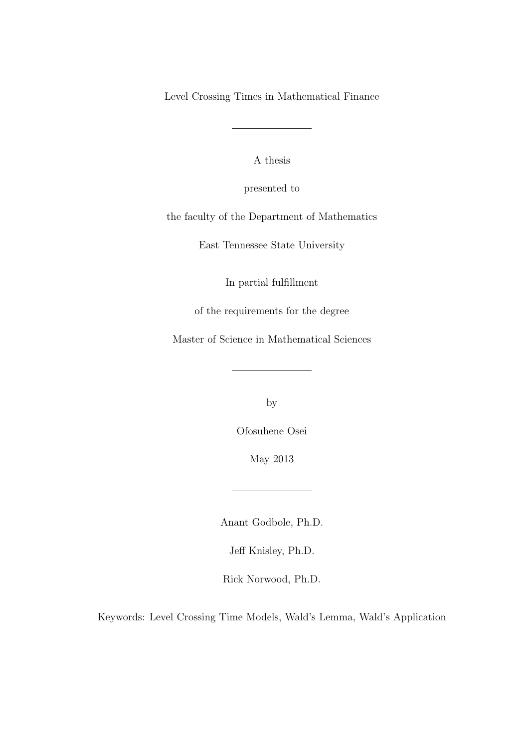Level Crossing Times in Mathematical Finance

A thesis

presented to

the faculty of the Department of Mathematics

East Tennessee State University

In partial fulfillment

of the requirements for the degree

Master of Science in Mathematical Sciences

by

Ofosuhene Osei

May 2013

Anant Godbole, Ph.D.

Jeff Knisley, Ph.D.

Rick Norwood, Ph.D.

Keywords: Level Crossing Time Models, Wald's Lemma, Wald's Application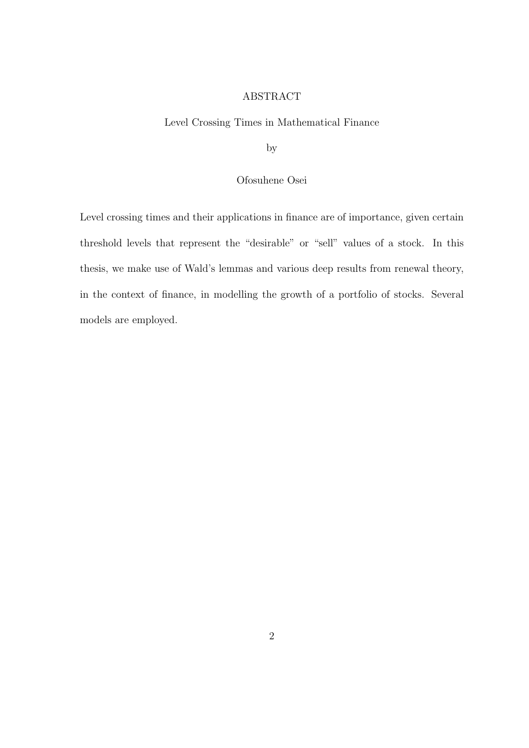# ABSTRACT

Level Crossing Times in Mathematical Finance

by

# Ofosuhene Osei

Level crossing times and their applications in finance are of importance, given certain threshold levels that represent the "desirable" or "sell" values of a stock. In this thesis, we make use of Wald's lemmas and various deep results from renewal theory, in the context of finance, in modelling the growth of a portfolio of stocks. Several models are employed.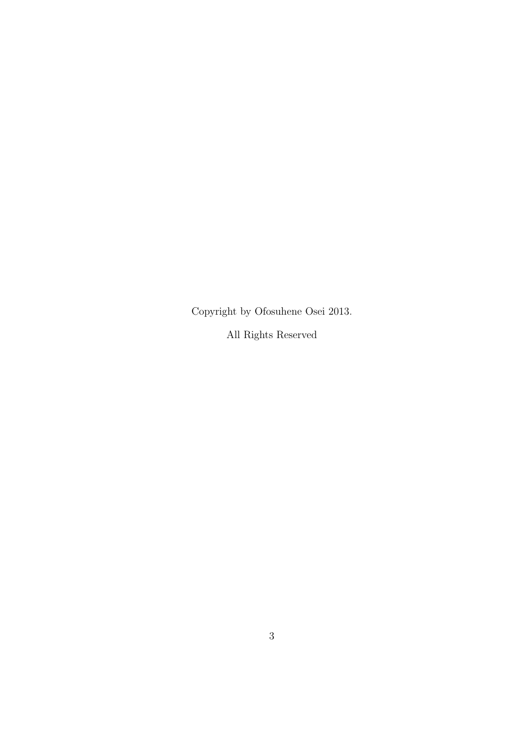Copyright by Ofosuhene Osei 2013.

All Rights Reserved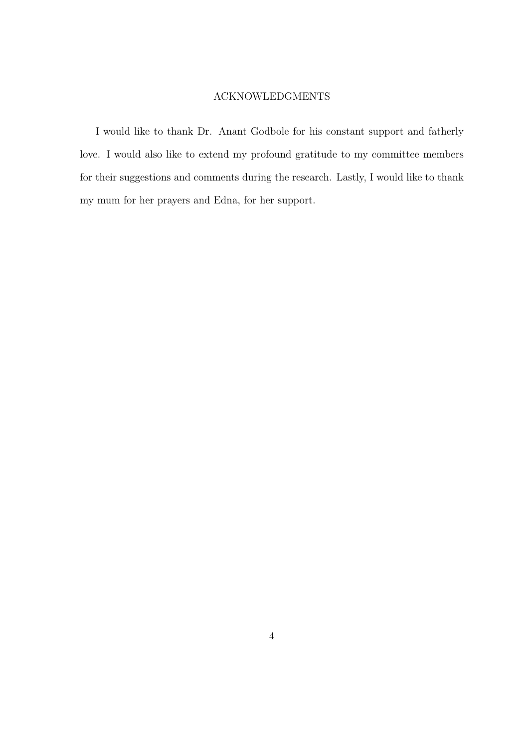# ACKNOWLEDGMENTS

I would like to thank Dr. Anant Godbole for his constant support and fatherly love. I would also like to extend my profound gratitude to my committee members for their suggestions and comments during the research. Lastly, I would like to thank my mum for her prayers and Edna, for her support.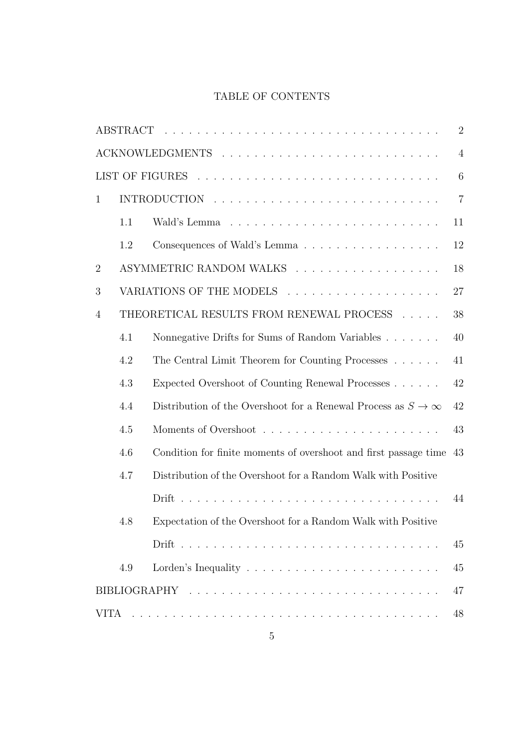# TABLE OF CONTENTS

| $\overline{2}$ |
|----------------|
| $\overline{4}$ |
| 6              |
| $\overline{7}$ |
| 11             |
| 12             |
| 18             |
| 27             |
| 38             |
| 40             |
| 41             |
| 42             |
| 42             |
| 43             |
| 43             |
|                |
| 44             |
|                |
| 45             |
| 45             |
| 47             |
| 48             |
|                |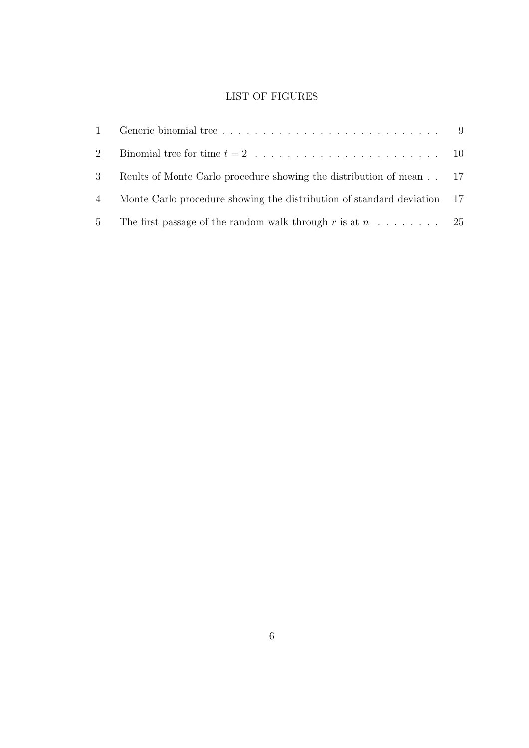# LIST OF FIGURES

| 3 Reults of Monte Carlo procedure showing the distribution of mean 17       |  |
|-----------------------------------------------------------------------------|--|
| 4 Monte Carlo procedure showing the distribution of standard deviation 17   |  |
| 5 The first passage of the random walk through r is at $n \ldots \ldots$ 25 |  |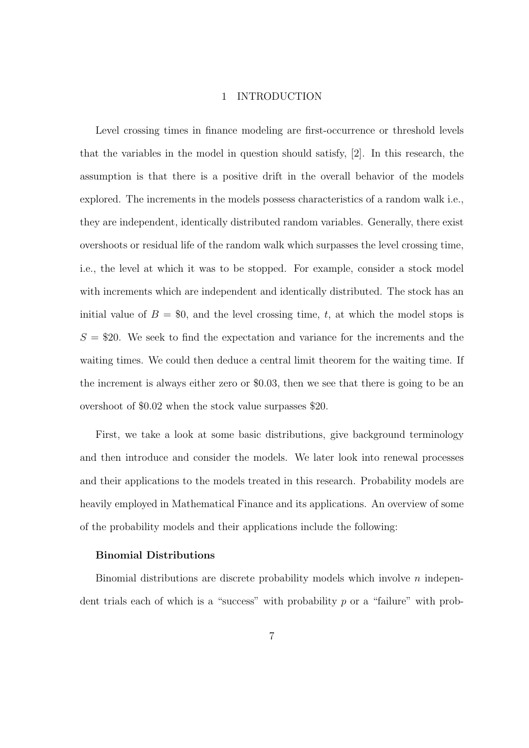#### 1 INTRODUCTION

Level crossing times in finance modeling are first-occurrence or threshold levels that the variables in the model in question should satisfy, [2]. In this research, the assumption is that there is a positive drift in the overall behavior of the models explored. The increments in the models possess characteristics of a random walk i.e., they are independent, identically distributed random variables. Generally, there exist overshoots or residual life of the random walk which surpasses the level crossing time, i.e., the level at which it was to be stopped. For example, consider a stock model with increments which are independent and identically distributed. The stock has an initial value of  $B = $0$ , and the level crossing time, t, at which the model stops is  $S = $20$ . We seek to find the expectation and variance for the increments and the waiting times. We could then deduce a central limit theorem for the waiting time. If the increment is always either zero or \$0*.*03, then we see that there is going to be an overshoot of \$0*.*02 when the stock value surpasses \$20.

First, we take a look at some basic distributions, give background terminology and then introduce and consider the models. We later look into renewal processes and their applications to the models treated in this research. Probability models are heavily employed in Mathematical Finance and its applications. An overview of some of the probability models and their applications include the following:

#### **Binomial Distributions**

Binomial distributions are discrete probability models which involve *n* independent trials each of which is a "success" with probability p or a "failure" with prob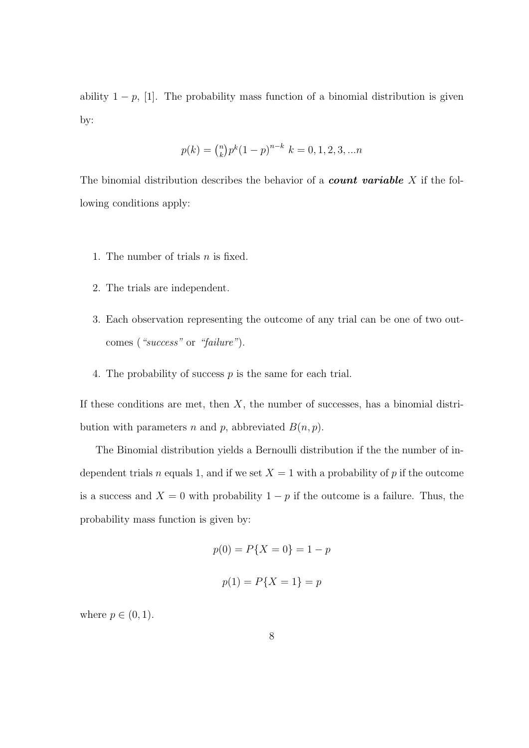ability  $1 - p$ , [1]. The probability mass function of a binomial distribution is given by:

$$
p(k) = {n \choose k} p^{k} (1-p)^{n-k} \ k = 0, 1, 2, 3, \dots n
$$

The binomial distribution describes the behavior of a *count variable X* if the following conditions apply:

- 1. The number of trials *n* is fixed.
- 2. The trials are independent.
- 3. Each observation representing the outcome of any trial can be one of two outcomes (*"success"* or *"failure"*).
- 4. The probability of success *p* is the same for each trial.

If these conditions are met, then *X*, the number of successes, has a binomial distribution with parameters *n* and *p*, abbreviated  $B(n, p)$ .

The Binomial distribution yields a Bernoulli distribution if the the number of independent trials *n* equals 1, and if we set  $X = 1$  with a probability of *p* if the outcome is a success and  $X = 0$  with probability  $1 - p$  if the outcome is a failure. Thus, the probability mass function is given by:

$$
p(0) = P\{X = 0\} = 1 - p
$$

$$
p(1) = P\{X = 1\} = p
$$

where  $p \in (0, 1)$ .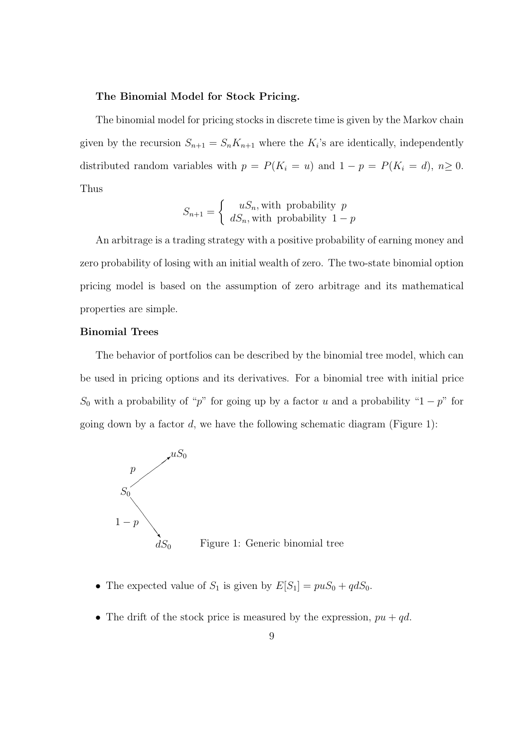#### **The Binomial Model for Stock Pricing.**

The binomial model for pricing stocks in discrete time is given by the Markov chain given by the recursion  $S_{n+1} = S_n K_{n+1}$  where the  $K_i$ 's are identically, independently distributed random variables with  $p = P(K_i = u)$  and  $1 - p = P(K_i = d)$ ,  $n \ge 0$ . Thus

$$
S_{n+1} = \begin{cases} uS_n, \text{with probability } p \\ dS_n, \text{with probability } 1 - p \end{cases}
$$

An arbitrage is a trading strategy with a positive probability of earning money and zero probability of losing with an initial wealth of zero. The two-state binomial option pricing model is based on the assumption of zero arbitrage and its mathematical properties are simple.

#### **Binomial Trees**

The behavior of portfolios can be described by the binomial tree model, which can be used in pricing options and its derivatives. For a binomial tree with initial price  $S_0$  with a probability of "*p*" for going up by a factor *u* and a probability "1 *− p*" for going down by a factor *d*, we have the following schematic diagram (Figure 1):



- The expected value of  $S_1$  is given by  $E[S_1] = puS_0 + qdS_0$ .
- The drift of the stock price is measured by the expression,  $pu + qd$ .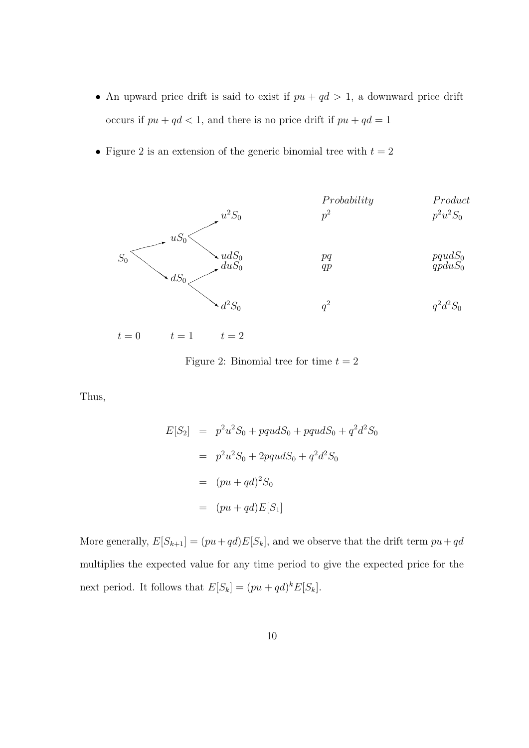- *•* An upward price drift is said to exist if *pu* + *qd >* 1, a downward price drift occurs if  $pu + qd < 1$ , and there is no price drift if  $pu + qd = 1$
- Figure 2 is an extension of the generic binomial tree with  $t = 2$



 $t = 0$   $t = 1$   $t = 2$ 

Figure 2: Binomial tree for time  $t = 2$ 

Thus,

$$
E[S_2] = p^2 u^2 S_0 + p q u dS_0 + p q u dS_0 + q^2 d^2 S_0
$$
  
=  $p^2 u^2 S_0 + 2p q u dS_0 + q^2 d^2 S_0$   
=  $(pu + q d)^2 S_0$   
=  $(pu + q d) E[S_1]$ 

More generally,  $E[S_{k+1}] = (pu + qd)E[S_k]$ , and we observe that the drift term  $pu + qd$ multiplies the expected value for any time period to give the expected price for the next period. It follows that  $E[S_k] = (pu + qd)^k E[S_k]$ .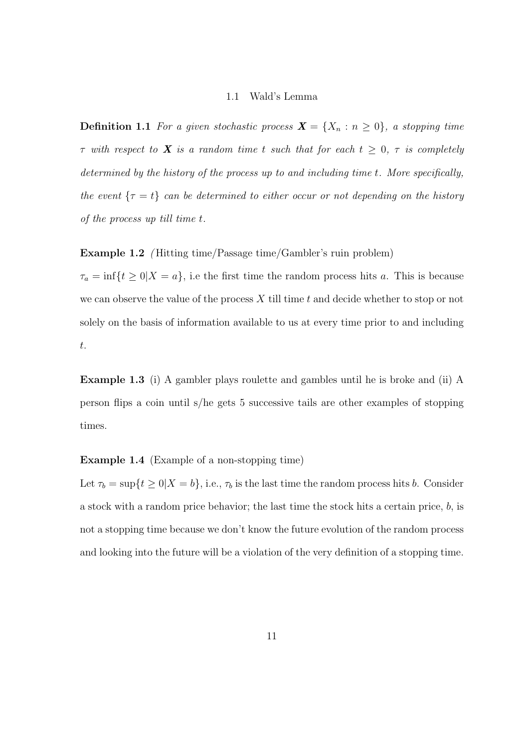#### 1.1 Wald's Lemma

**Definition 1.1** For a given stochastic process  $\mathbf{X} = \{X_n : n \geq 0\}$ , a stopping time *τ* with respect to *X is a random time t such that for each*  $t \geq 0$ ,  $\tau$  *is completely determined by the history of the process up to and including time t. More specifically, the event*  $\{\tau = t\}$  *can be determined to either occur or not depending on the history of the process up till time t.*

**Example 1.2** *(* Hitting time/Passage time/Gambler's ruin problem)

 $\tau_a = \inf\{t \geq 0 | X = a\}$ , i.e the first time the random process hits *a*. This is because we can observe the value of the process *X* till time *t* and decide whether to stop or not solely on the basis of information available to us at every time prior to and including *t*.

**Example 1.3** (i) A gambler plays roulette and gambles until he is broke and (ii) A person flips a coin until s/he gets 5 successive tails are other examples of stopping times.

#### **Example 1.4** (Example of a non-stopping time)

Let  $\tau_b = \sup\{t \geq 0 | X = b\}$ , i.e.,  $\tau_b$  is the last time the random process hits *b*. Consider a stock with a random price behavior; the last time the stock hits a certain price, *b*, is not a stopping time because we don't know the future evolution of the random process and looking into the future will be a violation of the very definition of a stopping time.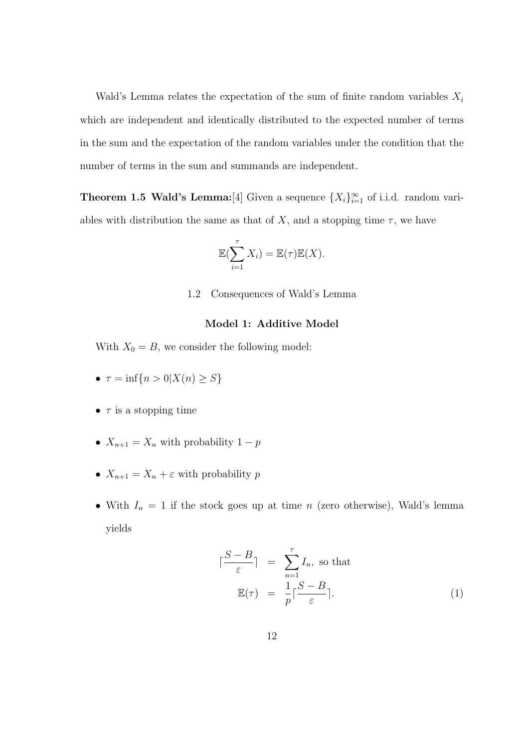Wald's Lemma relates the expectation of the sum of finite random variables  $X_i$ which are independent and identically distributed to the expected number of terms in the sum and the expectation of the random variables under the condition that the number of terms in the sum and summands are independent.

**Theorem 1.5 Wald's Lemma:** [4] Given a sequence  $\{X_i\}_{i=1}^{\infty}$  of i.i.d. random variables with distribution the same as that of  $X$ , and a stopping time  $\tau$ , we have

$$
\mathbb{E}(\sum_{i=1}^{\tau} X_i) = \mathbb{E}(\tau)\mathbb{E}(X).
$$

1.2 Consequences of Wald's Lemma

#### **Model 1: Additive Model**

With  $X_0 = B$ , we consider the following model:

- $\bullet$  *τ* = inf $\{n > 0 | X(n) \geq S\}$
- *• τ* is a stopping time
- $X_{n+1} = X_n$  with probability  $1 p$
- $X_{n+1} = X_n + \varepsilon$  with probability *p*
- With  $I_n = 1$  if the stock goes up at time *n* (zero otherwise), Wald's lemma yields

$$
\lceil \frac{S-B}{\varepsilon} \rceil = \sum_{n=1}^{\tau} I_n, \text{ so that}
$$

$$
\mathbb{E}(\tau) = \frac{1}{p} \lceil \frac{S-B}{\varepsilon} \rceil.
$$
 (1)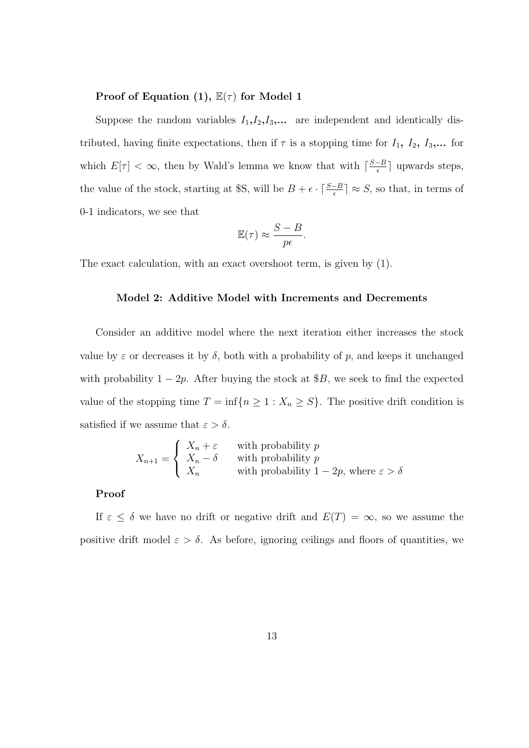#### **Proof of Equation (1),**  $E(\tau)$  for Model 1

Suppose the random variables  $I_1, I_2, I_3, \ldots$  are independent and identically distributed, having finite expectations, then if  $\tau$  is a stopping time for  $I_1$ ,  $I_2$ ,  $I_3$ ,... for which  $E[\tau] < \infty$ , then by Wald's lemma we know that with  $\lceil \frac{S-B}{\epsilon} \rceil$  upwards steps, the value of the stock, starting at \$S, will be  $B + \epsilon \cdot \lceil \frac{S-B}{\epsilon} \rceil \approx S$ , so that, in terms of 0-1 indicators, we see that

$$
\mathbb{E}(\tau) \approx \frac{S - B}{p\epsilon}.
$$

The exact calculation, with an exact overshoot term, is given by (1).

#### **Model 2: Additive Model with Increments and Decrements**

Consider an additive model where the next iteration either increases the stock value by  $\varepsilon$  or decreases it by  $\delta$ , both with a probability of p, and keeps it unchanged with probability  $1 - 2p$ . After buying the stock at \$*B*, we seek to find the expected value of the stopping time  $T = \inf\{n \geq 1 : X_n \geq S\}$ . The positive drift condition is satisfied if we assume that  $\varepsilon > \delta$ .

$$
X_{n+1} = \begin{cases} X_n + \varepsilon & \text{with probability } p \\ X_n - \delta & \text{with probability } p \\ X_n & \text{with probability } 1 - 2p, \text{ where } \varepsilon > \delta \end{cases}
$$

#### **Proof**

If  $\varepsilon \leq \delta$  we have no drift or negative drift and  $E(T) = \infty$ , so we assume the positive drift model  $\varepsilon > \delta$ . As before, ignoring ceilings and floors of quantities, we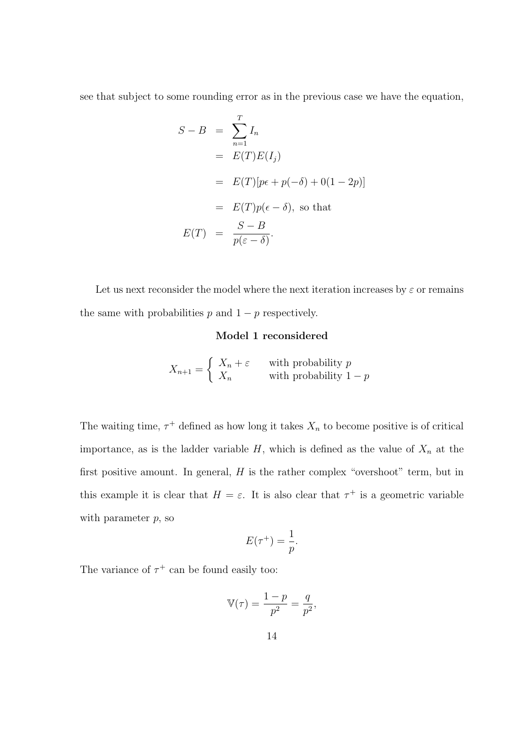see that subject to some rounding error as in the previous case we have the equation,

$$
S - B = \sum_{n=1}^{T} I_n
$$
  
=  $E(T)E(I_j)$   
=  $E(T)[p\epsilon + p(-\delta) + 0(1 - 2p)]$   
=  $E(T)p(\epsilon - \delta)$ , so that  
 $E(T) = \frac{S - B}{p(\epsilon - \delta)}$ .

Let us next reconsider the model where the next iteration increases by  $\varepsilon$  or remains the same with probabilities  $p$  and  $1 - p$  respectively.

## **Model 1 reconsidered**

$$
X_{n+1} = \begin{cases} X_n + \varepsilon & \text{with probability } p \\ X_n & \text{with probability } 1 - p \end{cases}
$$

The waiting time,  $\tau^+$  defined as how long it takes  $X_n$  to become positive is of critical importance, as is the ladder variable  $H$ , which is defined as the value of  $X_n$  at the first positive amount. In general, *H* is the rather complex "overshoot" term, but in this example it is clear that  $H = \varepsilon$ . It is also clear that  $\tau^+$  is a geometric variable with parameter *p*, so

$$
E(\tau^+) = \frac{1}{p}.
$$

The variance of  $\tau^+$  can be found easily too:

$$
\mathbb{V}(\tau) = \frac{1-p}{p^2} = \frac{q}{p^2},
$$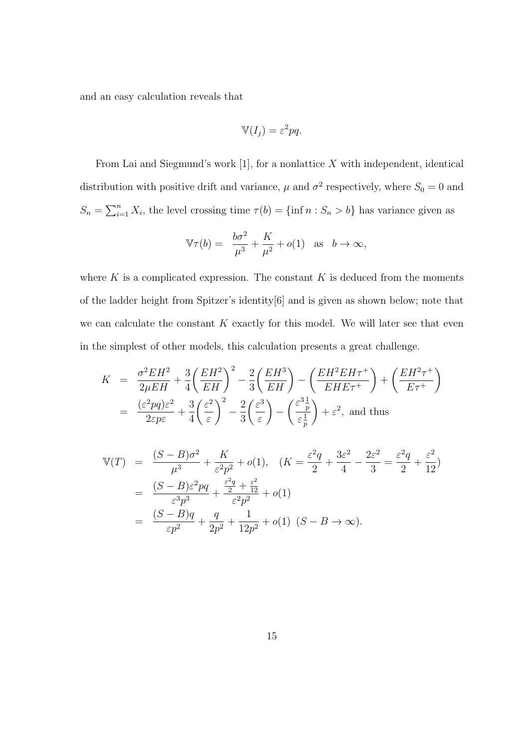and an easy calculation reveals that

$$
\mathbb{V}(I_j) = \varepsilon^2 pq.
$$

From Lai and Siegmund's work [1], for a nonlattice *X* with independent, identical distribution with positive drift and variance,  $\mu$  and  $\sigma^2$  respectively, where  $S_0 = 0$  and  $S_n = \sum_{i=1}^n X_i$ , the level crossing time  $\tau(b) = \{\inf n : S_n > b\}$  has variance given as

$$
\mathbb{V}\tau(b) = \frac{b\sigma^2}{\mu^3} + \frac{K}{\mu^2} + o(1) \quad \text{as} \quad b \to \infty,
$$

where  $K$  is a complicated expression. The constant  $K$  is deduced from the moments of the ladder height from Spitzer's identity[6] and is given as shown below; note that we can calculate the constant *K* exactly for this model. We will later see that even in the simplest of other models, this calculation presents a great challenge.

$$
K = \frac{\sigma^2 E H^2}{2\mu E H} + \frac{3}{4} \left(\frac{E H^2}{E H}\right)^2 - \frac{2}{3} \left(\frac{E H^3}{E H}\right) - \left(\frac{E H^2 E H \tau^+}{E H E \tau^+}\right) + \left(\frac{E H^2 \tau^+}{E \tau^+}\right)
$$
  
=  $\frac{(\varepsilon^2 p q) \varepsilon^2}{2\varepsilon p \varepsilon} + \frac{3}{4} \left(\frac{\varepsilon^2}{\varepsilon}\right)^2 - \frac{2}{3} \left(\frac{\varepsilon^3}{\varepsilon}\right) - \left(\frac{\varepsilon^3 \frac{1}{p}}{\varepsilon \frac{1}{p}}\right) + \varepsilon^2$ , and thus

$$
\begin{split} \mathbb{V}(T) &= \frac{(S-B)\sigma^2}{\mu^3} + \frac{K}{\varepsilon^2 p^2} + o(1), \quad (K = \frac{\varepsilon^2 q}{2} + \frac{3\varepsilon^2}{4} - \frac{2\varepsilon^2}{3} = \frac{\varepsilon^2 q}{2} + \frac{\varepsilon^2}{12}) \\ &= \frac{(S-B)\varepsilon^2 pq}{\varepsilon^3 p^3} + \frac{\frac{\varepsilon^2 q}{2} + \frac{\varepsilon^2}{12}}{\varepsilon^2 p^2} + o(1) \\ &= \frac{(S-B)q}{\varepsilon p^2} + \frac{q}{2p^2} + \frac{1}{12p^2} + o(1) \quad (S-B \to \infty). \end{split}
$$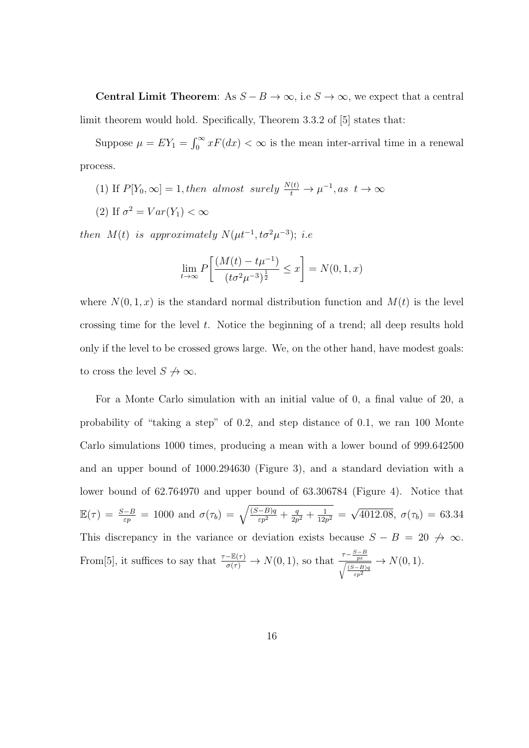**Central Limit Theorem:** As  $S - B \to \infty$ , i.e  $S \to \infty$ , we expect that a central limit theorem would hold. Specifically, Theorem 3.3.2 of [5] states that:

Suppose  $\mu = EY_1 = \int_0^\infty x F(dx) < \infty$  is the mean inter-arrival time in a renewal process.

- (1) If  $P[Y_0, \infty] = 1$ , then almost surely  $\frac{N(t)}{t} \to \mu^{-1}$ , as  $t \to \infty$
- (2) If  $\sigma^2 = Var(Y_1) < \infty$

*then*  $M(t)$  *is approximately*  $N(\mu t^{-1}, t\sigma^2 \mu^{-3})$ ; *i.e* 

$$
\lim_{t \to \infty} P\left[ \frac{(M(t) - t\mu^{-1})}{(t\sigma^2 \mu^{-3})^{\frac{1}{2}}} \le x \right] = N(0, 1, x)
$$

where  $N(0,1,x)$  is the standard normal distribution function and  $M(t)$  is the level crossing time for the level *t*. Notice the beginning of a trend; all deep results hold only if the level to be crossed grows large. We, on the other hand, have modest goals: to cross the level  $S \nrightarrow \infty$ .

For a Monte Carlo simulation with an initial value of 0, a final value of 20, a probability of "taking a step" of 0.2, and step distance of 0.1, we ran 100 Monte Carlo simulations 1000 times, producing a mean with a lower bound of 999.642500 and an upper bound of 1000.294630 (Figure 3), and a standard deviation with a lower bound of 62.764970 and upper bound of 63.306784 (Figure 4). Notice that  $\mathbb{E}(\tau) = \frac{S-B}{\varepsilon p} = 1000$  and  $\sigma(\tau_b) = \sqrt{\frac{(S-B)q}{\varepsilon p^2} + \frac{q}{2p^2}}$  $\frac{q}{2p^2} + \frac{1}{12p}$  $\frac{1}{12p^2}$  = *√*  $(4012.08, \sigma(\tau_b) = 63.34)$ This discrepancy in the variance or deviation exists because  $S - B = 20 \nrightarrow \infty$ . From[5], it suffices to say that  $\frac{\tau - \mathbb{E}(\tau)}{\sigma(\tau)} \to N(0, 1)$ , so that  $\frac{\tau - \frac{S - B}{p \varepsilon}}{\sqrt{\frac{(S - B)q}{\varepsilon p^2}}}$  $\rightarrow N(0, 1)$ .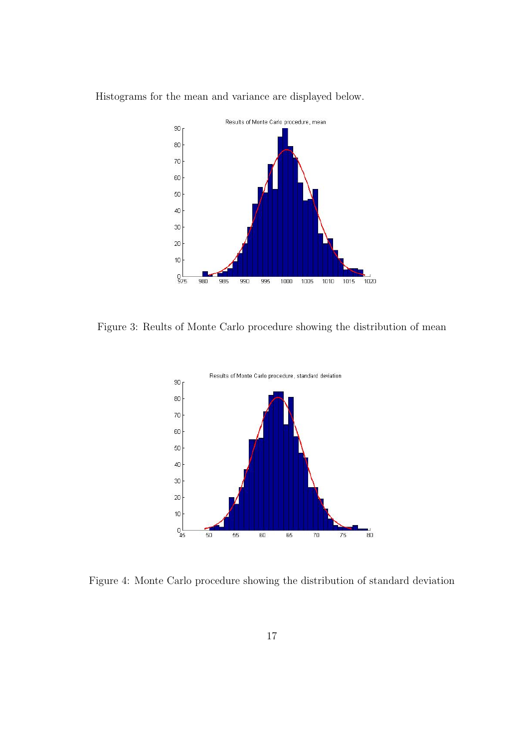

Histograms for the mean and variance are displayed below.

Figure 3: Reults of Monte Carlo procedure showing the distribution of mean



Figure 4: Monte Carlo procedure showing the distribution of standard deviation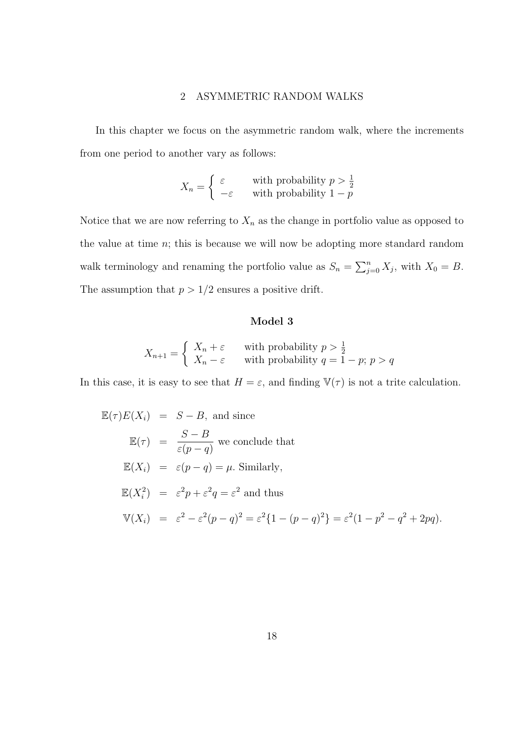# 2 ASYMMETRIC RANDOM WALKS

In this chapter we focus on the asymmetric random walk, where the increments from one period to another vary as follows:

$$
X_n = \begin{cases} \varepsilon & \text{with probability } p > \frac{1}{2} \\ -\varepsilon & \text{with probability } 1 - p \end{cases}
$$

Notice that we are now referring to  $X_n$  as the change in portfolio value as opposed to the value at time *n*; this is because we will now be adopting more standard random walk terminology and renaming the portfolio value as  $S_n = \sum_{j=0}^n X_j$ , with  $X_0 = B$ . The assumption that  $p > 1/2$  ensures a positive drift.

## **Model 3**

$$
X_{n+1} = \begin{cases} X_n + \varepsilon & \text{with probability } p > \frac{1}{2} \\ X_n - \varepsilon & \text{with probability } q = 1 - p; \ p > q \end{cases}
$$

In this case, it is easy to see that  $H = \varepsilon$ , and finding  $\mathbb{V}(\tau)$  is not a trite calculation.

$$
\mathbb{E}(\tau)E(X_i) = S - B, \text{ and since}
$$
  
\n
$$
\mathbb{E}(\tau) = \frac{S - B}{\varepsilon(p - q)}
$$
 we conclude that  
\n
$$
\mathbb{E}(X_i) = \varepsilon(p - q) = \mu. \text{ Similarly,}
$$
  
\n
$$
\mathbb{E}(X_i^2) = \varepsilon^2 p + \varepsilon^2 q = \varepsilon^2 \text{ and thus}
$$
  
\n
$$
\mathbb{V}(X_i) = \varepsilon^2 - \varepsilon^2 (p - q)^2 = \varepsilon^2 \{1 - (p - q)^2\} = \varepsilon^2 (1 - p^2 - q^2 + 2pq).
$$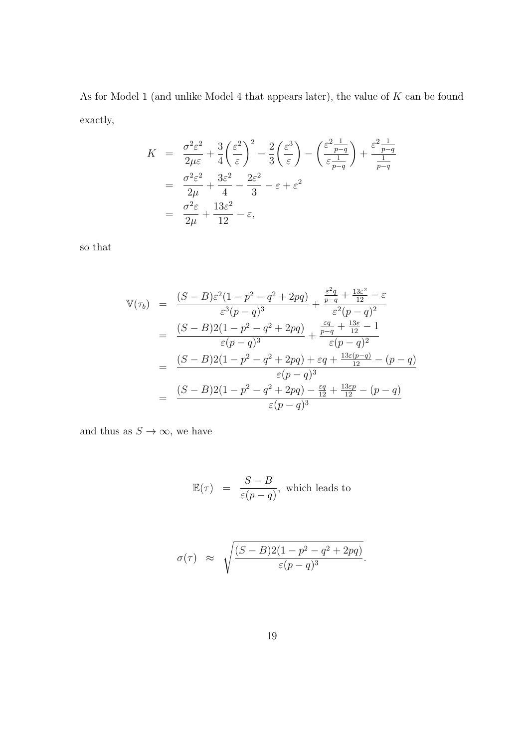As for Model 1 (and unlike Model 4 that appears later), the value of *K* can be found exactly,

$$
K = \frac{\sigma^2 \varepsilon^2}{2\mu\varepsilon} + \frac{3}{4} \left(\frac{\varepsilon^2}{\varepsilon}\right)^2 - \frac{2}{3} \left(\frac{\varepsilon^3}{\varepsilon}\right) - \left(\frac{\varepsilon^2 \frac{1}{p-q}}{\varepsilon \frac{1}{p-q}}\right) + \frac{\varepsilon^2 \frac{1}{p-q}}{\frac{1}{p-q}}
$$
  
=  $\frac{\sigma^2 \varepsilon^2}{2\mu} + \frac{3\varepsilon^2}{4} - \frac{2\varepsilon^2}{3} - \varepsilon + \varepsilon^2$   
=  $\frac{\sigma^2 \varepsilon}{2\mu} + \frac{13\varepsilon^2}{12} - \varepsilon$ ,

so that

$$
\mathbb{V}(\tau_b) = \frac{(S-B)\varepsilon^2(1-p^2-q^2+2pq)}{\varepsilon^3(p-q)^3} + \frac{\frac{\varepsilon^2q}{p-q} + \frac{13\varepsilon^2}{12} - \varepsilon}{\varepsilon^2(p-q)^2}
$$
\n
$$
= \frac{(S-B)2(1-p^2-q^2+2pq)}{\varepsilon(p-q)^3} + \frac{\frac{\varepsilon q}{p-q} + \frac{13\varepsilon}{12} - 1}{\varepsilon(p-q)^2}
$$
\n
$$
= \frac{(S-B)2(1-p^2-q^2+2pq) + \varepsilon q + \frac{13\varepsilon(p-q)}{12} - (p-q)}{\varepsilon(p-q)^3}
$$
\n
$$
= \frac{(S-B)2(1-p^2-q^2+2pq) - \frac{\varepsilon q}{12} + \frac{13\varepsilon p}{12} - (p-q)}{\varepsilon(p-q)^3}
$$

and thus as  $S \to \infty$ , we have

$$
\mathbb{E}(\tau) = \frac{S - B}{\varepsilon (p - q)},
$$
 which leads to

$$
\sigma(\tau) \;\; \approx \;\; \sqrt{\frac{(S-B)2(1-p^2-q^2+2pq)}{\varepsilon (p-q)^3}}.
$$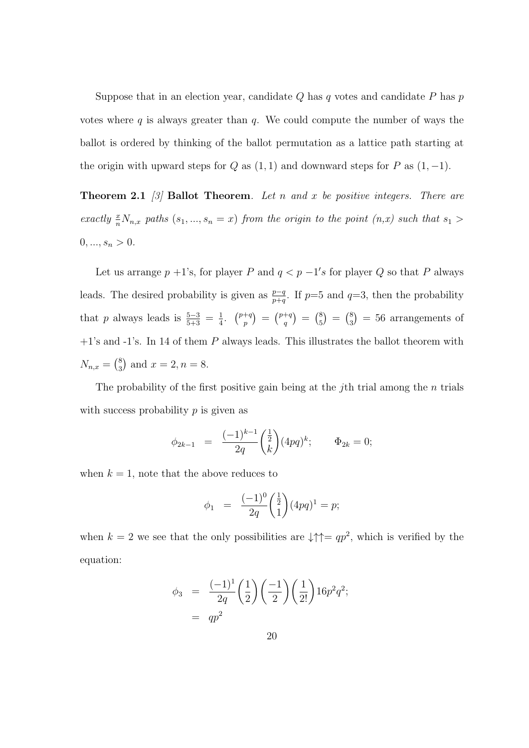Suppose that in an election year, candidate *Q* has *q* votes and candidate *P* has *p* votes where *q* is always greater than *q*. We could compute the number of ways the ballot is ordered by thinking of the ballot permutation as a lattice path starting at the origin with upward steps for  $Q$  as  $(1, 1)$  and downward steps for  $P$  as  $(1, -1)$ .

**Theorem 2.1** *[3]* **Ballot Theorem***. Let n and x be positive integers. There are exactly*  $\frac{x}{n}N_{n,x}$  *paths* (*s*<sub>1</sub>*, ..., s<sub>n</sub>* = *x*) *from the origin to the point* (*n,x*) *such that s*<sub>1</sub> >  $0, ..., s_n > 0.$ 

Let us arrange  $p + 1$ 's, for player  $P$  and  $q < p - 1$ 's for player  $Q$  so that  $P$  always leads. The desired probability is given as  $\frac{p-q}{p+q}$ . If  $p=5$  and  $q=3$ , then the probability that *p* always leads is  $\frac{5-3}{5+3} = \frac{1}{4}$  $\frac{1}{4}$ .  $\binom{p+q}{p}$  ${+q \choose p} = {p+q \choose q}$  $\binom{+q}{q} = \binom{8}{5}$  ${8 \choose 5} = {8 \choose 3}$  $_3^8$  = 56 arrangements of +1's and -1's. In 14 of them *P* always leads. This illustrates the ballot theorem with  $N_{n,x} = \binom{8}{3}$  $_{3}^{8}$ ) and  $x = 2, n = 8$ .

The probability of the first positive gain being at the *j*th trial among the *n* trials with success probability *p* is given as

$$
\phi_{2k-1} = \frac{(-1)^{k-1}}{2q} \binom{\frac{1}{2}}{k} (4pq)^k; \qquad \Phi_{2k} = 0;
$$

when  $k = 1$ , note that the above reduces to

$$
\phi_1 = \frac{(-1)^0}{2q} \binom{\frac{1}{2}}{1} (4pq)^1 = p;
$$

when  $k = 2$  we see that the only possibilities are  $\downarrow \uparrow \uparrow = qp^2$ , which is verified by the equation:

$$
\begin{array}{rcl}\n\phi_3 & = & \frac{(-1)^1}{2q} \left(\frac{1}{2}\right) \left(\frac{-1}{2}\right) \left(\frac{1}{2!}\right) 16p^2 q^2; \\
& = & qp^2\n\end{array}
$$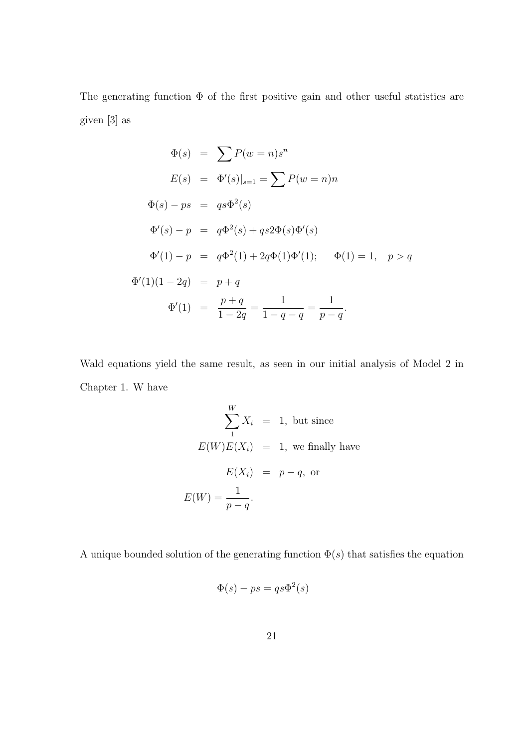The generating function Φ of the first positive gain and other useful statistics are given [3] as

$$
\Phi(s) = \sum P(w = n)s^n
$$
  
\n
$$
E(s) = \Phi'(s)|_{s=1} = \sum P(w = n)n
$$
  
\n
$$
\Phi(s) - ps = qs\Phi^2(s)
$$
  
\n
$$
\Phi'(s) - p = q\Phi^2(s) + qs2\Phi(s)\Phi'(s)
$$
  
\n
$$
\Phi'(1) - p = q\Phi^2(1) + 2q\Phi(1)\Phi'(1); \quad \Phi(1) = 1, \quad p > q
$$
  
\n
$$
\Phi'(1)(1 - 2q) = p + q
$$
  
\n
$$
\Phi'(1) = \frac{p + q}{1 - 2q} = \frac{1}{1 - q - q} = \frac{1}{p - q}.
$$

Wald equations yield the same result, as seen in our initial analysis of Model 2 in Chapter 1. W have

$$
\sum_{1}^{W} X_i = 1, \text{ but since}
$$
  

$$
E(W)E(X_i) = 1, \text{ we finally have}
$$
  

$$
E(X_i) = p - q, \text{ or}
$$
  

$$
E(W) = \frac{1}{p - q}.
$$

A unique bounded solution of the generating function Φ(*s*) that satisfies the equation

$$
\Phi(s) - ps = qs\Phi^2(s)
$$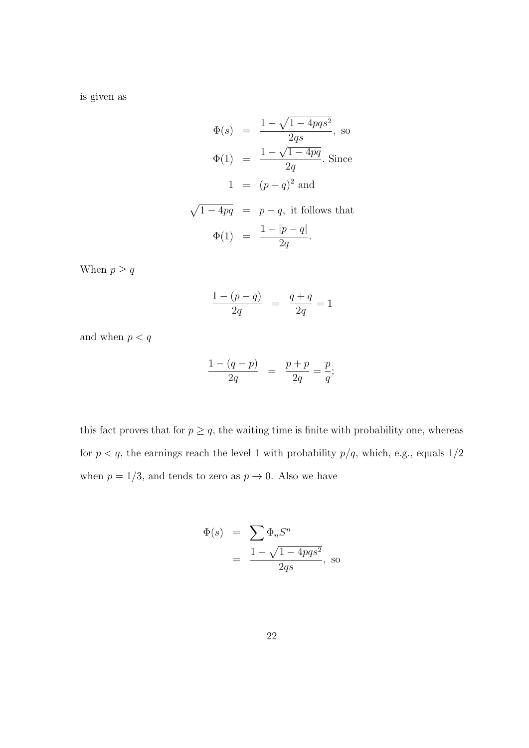is given as

$$
\Phi(s) = \frac{1 - \sqrt{1 - 4pqs^2}}{2qs}, \text{ so}
$$

$$
\Phi(1) = \frac{1 - \sqrt{1 - 4pq}}{2q}. \text{ Since}
$$

$$
1 = (p + q)^2 \text{ and}
$$

$$
\sqrt{1 - 4pq} = p - q, \text{ it follows that}
$$

$$
\Phi(1) = \frac{1 - |p - q|}{2q}.
$$

When  $p \geq q$ 

$$
\frac{1 - (p - q)}{2q} = \frac{q + q}{2q} = 1
$$

and when *p < q*

$$
\frac{1 - (q - p)}{2q} = \frac{p + p}{2q} = \frac{p}{q};
$$

this fact proves that for  $p \geq q$ , the waiting time is finite with probability one, whereas for  $p < q,$  the earnings reach the level 1 with probability  $p/q,$  which, e.g., equals  $1/2$ when  $p = 1/3$ , and tends to zero as  $p \to 0$ . Also we have

$$
\Phi(s) = \sum \Phi_n S^n
$$
  
= 
$$
\frac{1 - \sqrt{1 - 4pqs^2}}{2qs}
$$
, so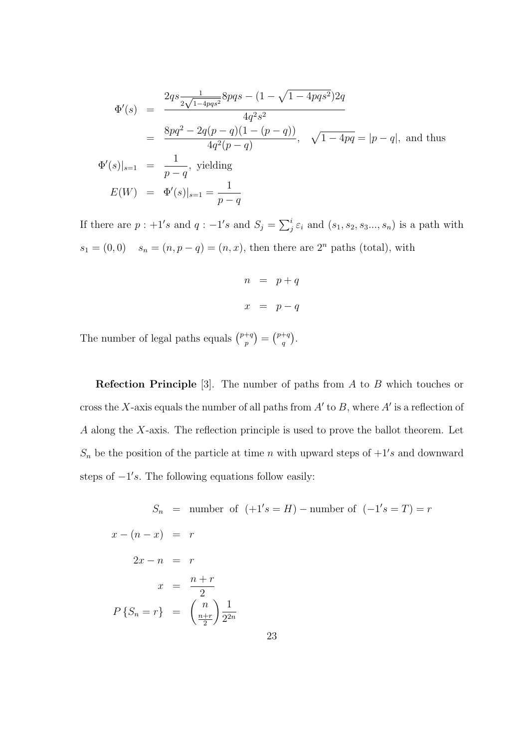$$
\Phi'(s) = \frac{2qs \frac{1}{2\sqrt{1-4pqs^2}} 8pqs - (1 - \sqrt{1 - 4pqs^2})2q}{4q^2s^2}
$$
  
\n
$$
= \frac{8pq^2 - 2q(p - q)(1 - (p - q))}{4q^2(p - q)}, \quad \sqrt{1 - 4pq} = |p - q|, \text{ and thus}
$$
  
\n
$$
\Phi'(s)|_{s=1} = \frac{1}{p - q}, \text{ yielding}
$$
  
\n
$$
E(W) = \Phi'(s)|_{s=1} = \frac{1}{p - q}
$$

If there are  $p : +1's$  and  $q : -1's$  and  $S_j = \sum_j^i \varepsilon_i$  and  $(s_1, s_2, s_3..., s_n)$  is a path with  $s_1 = (0, 0)$  *s<sub>n</sub>* =  $(n, p - q) = (n, x)$ , then there are 2<sup>*n*</sup> paths (total), with

$$
n = p + q
$$

$$
x = p - q
$$

The number of legal paths equals  $\binom{p+q}{p}$  ${+q \choose p} = {p+q \choose q}$  $\binom{+q}{q}$ .

**Refection Principle** [3]. The number of paths from *A* to *B* which touches or cross the *X*-axis equals the number of all paths from *A′* to *B*, where *A′* is a reflection of *A* along the *X*-axis. The reflection principle is used to prove the ballot theorem. Let  $S_n$  be the position of the particle at time *n* with upward steps of  $+1's$  and downward steps of *−*1 *′ s.* The following equations follow easily:

$$
S_n = \text{number of } (+1's = H) - \text{number of } (-1's = T) = r
$$
  

$$
x - (n - x) = r
$$
  

$$
2x - n = r
$$
  

$$
x = \frac{n + r}{2}
$$
  

$$
P\{S_n = r\} = \left(\frac{n}{\frac{n+r}{2}}\right)\frac{1}{2^{2n}}
$$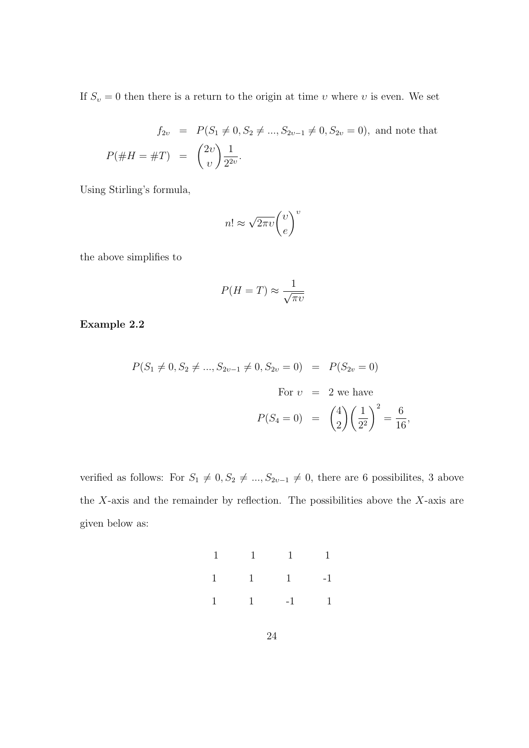If  $S_v = 0$  then there is a return to the origin at time *v* where *v* is even. We set

$$
f_{2v} = P(S_1 \neq 0, S_2 \neq ..., S_{2v-1} \neq 0, S_{2v} = 0), \text{ and note that}
$$

$$
P(\#H = \#T) = {2v \choose v} \frac{1}{2^{2v}}.
$$

Using Stirling's formula,

$$
n! \approx \sqrt{2\pi v} \binom{v}{e}^v
$$

the above simplifies to

$$
P(H=T) \approx \frac{1}{\sqrt{\pi v}}
$$

**Example 2.2**

$$
P(S_1 \neq 0, S_2 \neq ..., S_{2v-1} \neq 0, S_{2v} = 0) = P(S_{2v} = 0)
$$
  
For  $v = 2$  we have  

$$
P(S_4 = 0) = {4 \choose 2} \left(\frac{1}{2^2}\right)^2 = \frac{6}{16}
$$

*,*

verified as follows: For  $S_1 \neq 0, S_2 \neq ..., S_{2v-1} \neq 0$ , there are 6 possibilites, 3 above the *X*-axis and the remainder by reflection. The possibilities above the *X*-axis are given below as:

|  | $\begin{matrix} 1 \qquad & 1 \qquad & 1 \qquad & 1 \end{matrix}$ |  |
|--|------------------------------------------------------------------|--|
|  | $1 \t 1 \t 1 \t -1$                                              |  |
|  | $1 \t 1 \t -1 \t 1$                                              |  |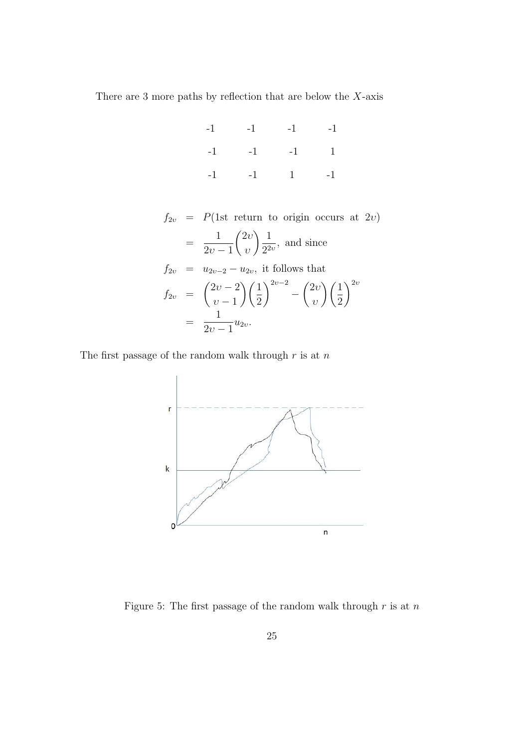There are 3 more paths by reflection that are below the *X*-axis

| $-1 \qquad \quad -1 \qquad \quad -1 \qquad \quad -1$ |  |
|------------------------------------------------------|--|
| $-1$ $-1$ $-1$ $1$                                   |  |
| $-1$ $-1$ $1$ $-1$                                   |  |

 $f_{2v}$  = *P*(1st return to origin occurs at 2*υ*) = 1  $2v - 1$ ( 2*υ υ* ) 1  $\frac{1}{2^{2v}}$ , and since  $f_{2v} = u_{2v-2} - u_{2v}$ , it follows that  $f_{2v}$  =  $(2v - 2)$ *υ −* 1  $\setminus$  (1) 2 )<sup>2</sup>*υ−*<sup>2</sup> *−* ( 2*υ υ*  $\setminus$  (1) 2  $\setminus^{2v}$ = 1  $\frac{1}{2v-1}u_{2v}$ .

The first passage of the random walk through *r* is at *n*



Figure 5: The first passage of the random walk through *r* is at *n*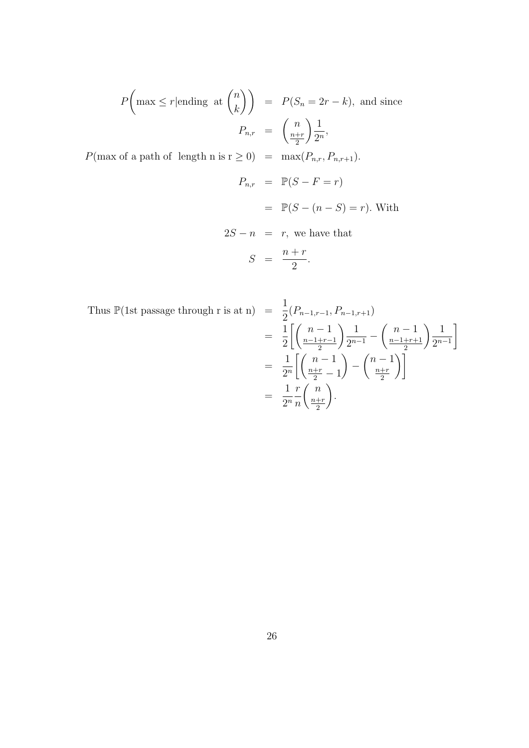*P*  $\left(\max \leq r \right)$  ending at  $\binom{n}{r}$  $\binom{n}{k}$  =  $P(S_n = 2r - k)$ , and since  $P_{n,r}$  = ( *n n*+*r* 2 ) 1  $\frac{1}{2^n}$ ,

*P*(max of a path of length n is  $r \ge 0$ ) = max( $P_{n,r}, P_{n,r+1}$ ).

$$
P_{n,r} = \mathbb{P}(S - F = r)
$$

$$
= \mathbb{P}(S - (n - S) = r).
$$
 With

 $2S - n = r$ , we have that

$$
S = \frac{n+r}{2}.
$$

Thus  $\mathbb{P}(\text{1st passage through } r \text{ is at } n) = \frac{1}{2}$ 

$$
= \frac{1}{2}(P_{n-1,r-1}, P_{n-1,r+1})
$$
  
\n
$$
= \frac{1}{2}\left[\left(\frac{n-1}{\frac{n-1+r-1}{2}}\right)\frac{1}{2^{n-1}} - \left(\frac{n-1}{\frac{n-1+r+1}{2}}\right)\frac{1}{2^{n-1}}\right]
$$
  
\n
$$
= \frac{1}{2^n}\left[\left(\frac{n-1}{\frac{n+r}{2}}-1\right) - \left(\frac{n-1}{\frac{n+r}{2}}\right)\right]
$$
  
\n
$$
= \frac{1}{2^n}\frac{r}{n}\left(\frac{n}{\frac{n+r}{2}}\right).
$$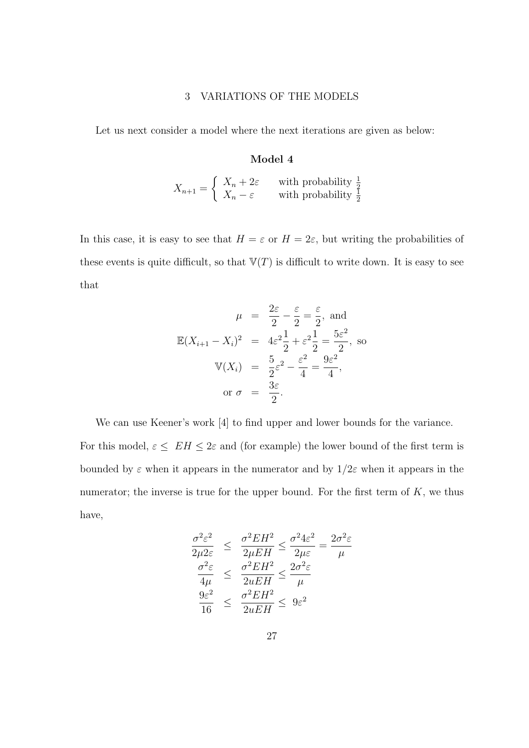# 3 VARIATIONS OF THE MODELS

Let us next consider a model where the next iterations are given as below:

#### **Model 4**

$$
X_{n+1} = \begin{cases} X_n + 2\varepsilon & \text{with probability } \frac{1}{2} \\ X_n - \varepsilon & \text{with probability } \frac{1}{2} \end{cases}
$$

In this case, it is easy to see that  $H = \varepsilon$  or  $H = 2\varepsilon$ , but writing the probabilities of these events is quite difficult, so that  $V(T)$  is difficult to write down. It is easy to see that

$$
\mu = \frac{2\varepsilon}{2} - \frac{\varepsilon}{2} = \frac{\varepsilon}{2}, \text{ and}
$$
  
\n
$$
\mathbb{E}(X_{i+1} - X_i)^2 = 4\varepsilon^2 \frac{1}{2} + \varepsilon^2 \frac{1}{2} = \frac{5\varepsilon^2}{2}, \text{ so}
$$
  
\n
$$
\mathbb{V}(X_i) = \frac{5}{2}\varepsilon^2 - \frac{\varepsilon^2}{4} = \frac{9\varepsilon^2}{4},
$$
  
\nor  $\sigma = \frac{3\varepsilon}{2}.$ 

We can use Keener's work [4] to find upper and lower bounds for the variance.

For this model,  $\varepsilon \leq EH \leq 2\varepsilon$  and (for example) the lower bound of the first term is bounded by  $\varepsilon$  when it appears in the numerator and by  $1/2\varepsilon$  when it appears in the numerator; the inverse is true for the upper bound. For the first term of *K*, we thus have,

$$
\frac{\sigma^2 \varepsilon^2}{2\mu 2\varepsilon} \leq \frac{\sigma^2 E H^2}{2\mu E H} \leq \frac{\sigma^2 4\varepsilon^2}{2\mu \varepsilon} = \frac{2\sigma^2 \varepsilon}{\mu}
$$

$$
\frac{\sigma^2 \varepsilon}{4\mu} \leq \frac{\sigma^2 E H^2}{2u E H} \leq \frac{2\sigma^2 \varepsilon}{\mu}
$$

$$
\frac{9\varepsilon^2}{16} \leq \frac{\sigma^2 E H^2}{2u E H} \leq 9\varepsilon^2
$$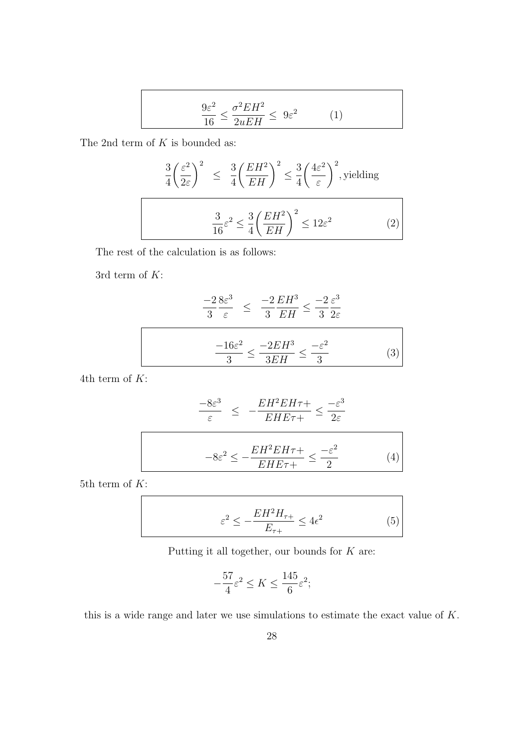$$
\frac{9\varepsilon^2}{16} \le \frac{\sigma^2 E H^2}{2u E H} \le 9\varepsilon^2 \tag{1}
$$

The 2nd term of *K* is bounded as:

$$
\frac{3}{4} \left(\frac{\varepsilon^2}{2\varepsilon}\right)^2 \le \frac{3}{4} \left(\frac{EH^2}{EH}\right)^2 \le \frac{3}{4} \left(\frac{4\varepsilon^2}{\varepsilon}\right)^2, \text{yielding}
$$
\n
$$
\frac{3}{16}\varepsilon^2 \le \frac{3}{4} \left(\frac{EH^2}{EH}\right)^2 \le 12\varepsilon^2 \tag{2}
$$

The rest of the calculation is as follows:

3rd term of *K*:

$$
\frac{-2}{3} \frac{8\varepsilon^3}{\varepsilon} \le \frac{-2}{3} \frac{EH^3}{EH} \le \frac{-2}{3} \frac{\varepsilon^3}{2\varepsilon}
$$
\n
$$
\frac{-16\varepsilon^2}{3} \le \frac{-2EH^3}{3EH} \le \frac{-\varepsilon^2}{3} \tag{3}
$$

4th term of *K*:

$$
\frac{-8\varepsilon^3}{\varepsilon} \le -\frac{EH^2EH\tau + \varepsilon}{EHE\tau + \varepsilon} \le \frac{-\varepsilon^3}{2\varepsilon}
$$

$$
-8\varepsilon^2 \le -\frac{EH^2EH\tau + \varepsilon}{EHE\tau + \varepsilon} \le \frac{-\varepsilon^2}{2} \tag{4}
$$

5th term of *K*:

$$
\varepsilon^2 \le -\frac{EH^2H_{\tau+}}{E_{\tau+}} \le 4\epsilon^2
$$
 (5)

Putting it all together, our bounds for *K* are:

$$
-\frac{57}{4}\varepsilon^2 \le K \le \frac{145}{6}\varepsilon^2;
$$

this is a wide range and later we use simulations to estimate the exact value of *K*.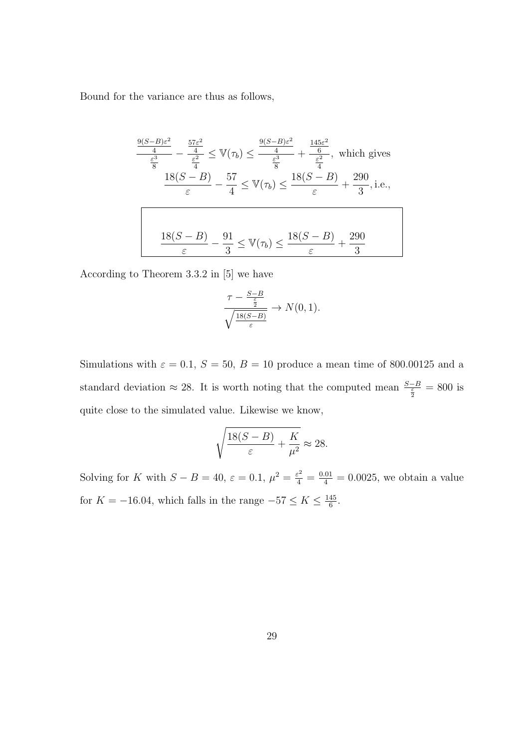Bound for the variance are thus as follows,

$$
\frac{\frac{9(S-B)\varepsilon^2}{4}}{\frac{\varepsilon^3}{8}} - \frac{\frac{57\varepsilon^2}{4}}{\frac{\varepsilon^2}{4}} \le \mathbb{V}(\tau_b) \le \frac{\frac{9(S-B)\varepsilon^2}{4}}{\frac{\varepsilon^3}{8}} + \frac{\frac{145\varepsilon^2}{6}}{\frac{\varepsilon^2}{4}}, \text{ which gives}
$$

$$
\frac{18(S-B)}{\varepsilon} - \frac{57}{4} \le \mathbb{V}(\tau_b) \le \frac{18(S-B)}{\varepsilon} + \frac{290}{3}, \text{i.e.,}
$$

$$
\frac{18(S-B)}{\varepsilon} - \frac{91}{3} \le \mathbb{V}(\tau_b) \le \frac{18(S-B)}{\varepsilon} + \frac{290}{3}
$$

According to Theorem 3.3.2 in [5] we have

$$
\frac{\tau - \frac{S-B}{\frac{\epsilon}{2}}}{\sqrt{\frac{18(S-B)}{\epsilon}}} \to N(0, 1).
$$

Simulations with  $\varepsilon = 0.1$ ,  $S = 50$ ,  $B = 10$  produce a mean time of 800.00125 and a standard deviation  $\approx$  28. It is worth noting that the computed mean  $\frac{S-B}{\frac{\varepsilon}{2}} = 800$  is quite close to the simulated value. Likewise we know,

$$
\sqrt{\frac{18(S-B)}{\varepsilon} + \frac{K}{\mu^2}} \approx 28.
$$

Solving for *K* with  $S - B = 40$ ,  $\varepsilon = 0.1$ ,  $\mu^2 = \frac{\varepsilon^2}{4} = \frac{0.01}{4} = 0.0025$ , we obtain a value for  $K = -16.04$ , which falls in the range  $-57 \leq K \leq \frac{145}{6}$  $\frac{45}{6}$ .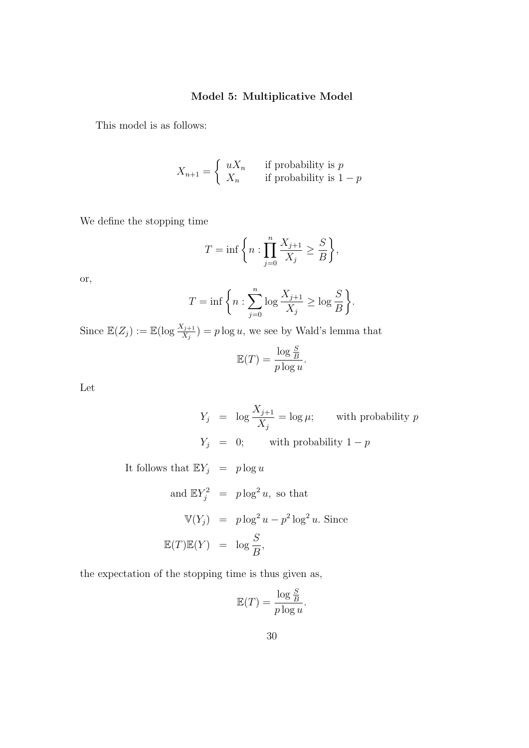# **Model 5: Multiplicative Model**

This model is as follows:

$$
X_{n+1} = \begin{cases} uX_n & \text{if probability is } p \\ X_n & \text{if probability is } 1-p \end{cases}
$$

We define the stopping time

$$
T = \inf \bigg\{ n : \prod_{j=0}^{n} \frac{X_{j+1}}{X_j} \ge \frac{S}{B} \bigg\},\
$$

or,

$$
T = \inf \bigg\{ n : \sum_{j=0}^{n} \log \frac{X_{j+1}}{X_j} \ge \log \frac{S}{B} \bigg\}.
$$

Since  $\mathbb{E}(Z_j) := \mathbb{E}(\log \frac{X_{j+1}}{X_j}) = p \log u$ , we see by Wald's lemma that

$$
\mathbb{E}(T) = \frac{\log \frac{S}{B}}{p \log u}.
$$

Let

$$
Y_j = \log \frac{X_{j+1}}{X_j} = \log \mu; \quad \text{with probability } p
$$
  

$$
Y_j = 0; \quad \text{with probability } 1 - p
$$

It follows that  $\mathbb{E} Y_j = p \log u$ 

and 
$$
\mathbb{E}Y_j^2 = p \log^2 u
$$
, so that  
\n
$$
\mathbb{V}(Y_j) = p \log^2 u - p^2 \log^2 u
$$
. Since  
\n
$$
\mathbb{E}(T)\mathbb{E}(Y) = \log \frac{S}{B},
$$

the expectation of the stopping time is thus given as,

$$
\mathbb{E}(T) = \frac{\log \frac{S}{B}}{p \log u}.
$$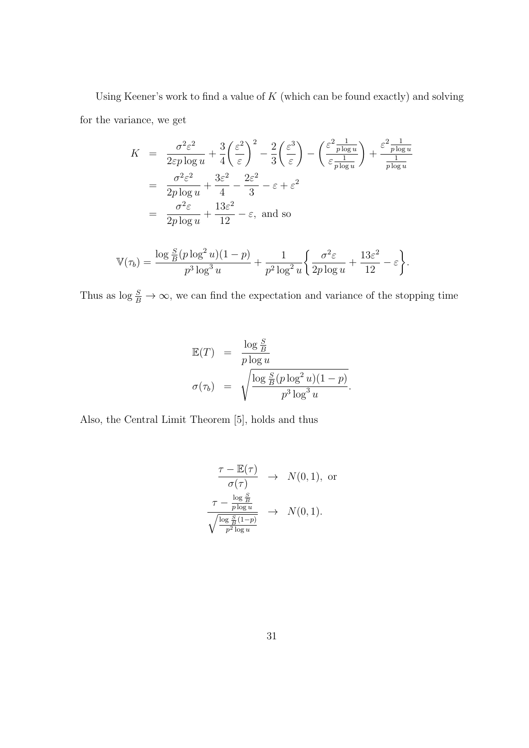Using Keener's work to find a value of *K* (which can be found exactly) and solving for the variance, we get

$$
K = \frac{\sigma^2 \varepsilon^2}{2\varepsilon p \log u} + \frac{3}{4} \left(\frac{\varepsilon^2}{\varepsilon}\right)^2 - \frac{2}{3} \left(\frac{\varepsilon^3}{\varepsilon}\right) - \left(\frac{\varepsilon^2 \frac{1}{p \log u}}{\varepsilon \frac{1}{p \log u}}\right) + \frac{\varepsilon^2 \frac{1}{p \log u}}{\frac{1}{p \log u}}
$$
  
= 
$$
\frac{\sigma^2 \varepsilon^2}{2p \log u} + \frac{3\varepsilon^2}{4} - \frac{2\varepsilon^2}{3} - \varepsilon + \varepsilon^2
$$
  
= 
$$
\frac{\sigma^2 \varepsilon}{2p \log u} + \frac{13\varepsilon^2}{12} - \varepsilon, \text{ and so}
$$

$$
\mathbb{V}(\tau_b) = \frac{\log \frac{S}{B}(p \log^2 u)(1-p)}{p^3 \log^3 u} + \frac{1}{p^2 \log^2 u} \left\{ \frac{\sigma^2 \varepsilon}{2p \log u} + \frac{13\varepsilon^2}{12} - \varepsilon \right\}.
$$

Thus as  $\log \frac{S}{B} \to \infty$ , we can find the expectation and variance of the stopping time

$$
\mathbb{E}(T) = \frac{\log \frac{S}{B}}{p \log u}
$$

$$
\sigma(\tau_b) = \sqrt{\frac{\log \frac{S}{B}(p \log^2 u)(1-p)}{p^3 \log^3 u}}.
$$

Also, the Central Limit Theorem [5], holds and thus

$$
\frac{\tau - \mathbb{E}(\tau)}{\sigma(\tau)} \rightarrow N(0, 1), \text{ or}
$$
\n
$$
\frac{\tau - \frac{\log \frac{S}{B}}{p \log u}}{\sqrt{\frac{\log \frac{S}{B}(1-p)}{p^2 \log u}}} \rightarrow N(0, 1).
$$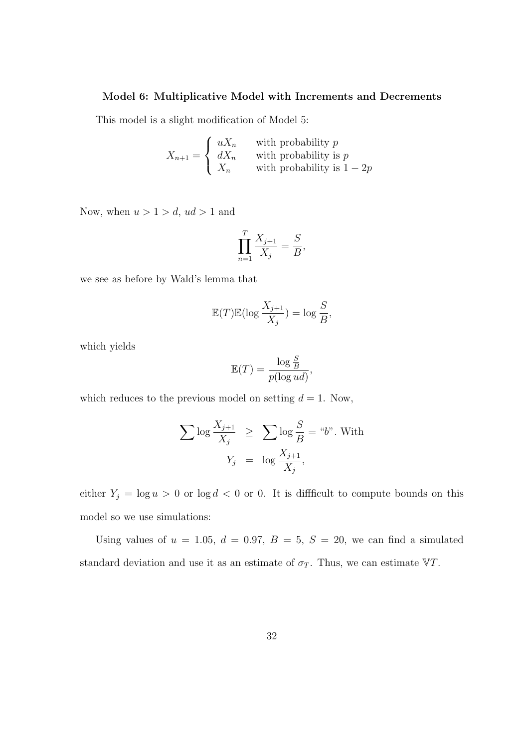## **Model 6: Multiplicative Model with Increments and Decrements**

This model is a slight modification of Model 5:

$$
X_{n+1} = \begin{cases} uX_n & \text{with probability } p \\ dX_n & \text{with probability is } p \\ X_n & \text{with probability is } 1 - 2p \end{cases}
$$

Now, when *u >* 1 *> d*, *ud >* 1 and

$$
\prod_{n=1}^{T} \frac{X_{j+1}}{X_j} = \frac{S}{B},
$$

we see as before by Wald's lemma that

$$
\mathbb{E}(T)\mathbb{E}(\log \frac{X_{j+1}}{X_j}) = \log \frac{S}{B},
$$

which yields

$$
\mathbb{E}(T) = \frac{\log \frac{S}{B}}{p(\log ud)},
$$

which reduces to the previous model on setting  $d = 1$ . Now,

$$
\sum \log \frac{X_{j+1}}{X_j} \ge \sum \log \frac{S}{B} = \text{``b''}.
$$
 With  

$$
Y_j = \log \frac{X_{j+1}}{X_j},
$$

either  $Y_j = \log u > 0$  or  $\log d < 0$  or 0. It is difficult to compute bounds on this model so we use simulations:

Using values of  $u = 1.05$ ,  $d = 0.97$ ,  $B = 5$ ,  $S = 20$ , we can find a simulated standard deviation and use it as an estimate of  $\sigma_T$ . Thus, we can estimate  $\mathbb{V}T$ .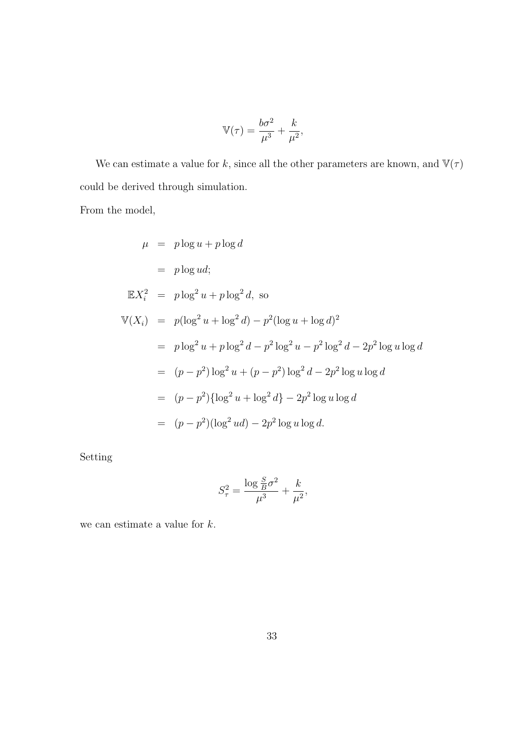$$
\mathbb{V}(\tau) = \frac{b\sigma^2}{\mu^3} + \frac{k}{\mu^2},
$$

We can estimate a value for  $k,$  since all the other parameters are known, and  $\mathbb{V}(\tau)$ could be derived through simulation.

From the model,

$$
\mu = p \log u + p \log d
$$
  
\n
$$
= p \log u d;
$$
  
\n
$$
\mathbb{E}X_i^2 = p \log^2 u + p \log^2 d, \text{ so}
$$
  
\n
$$
\mathbb{V}(X_i) = p(\log^2 u + \log^2 d) - p^2(\log u + \log d)^2
$$
  
\n
$$
= p \log^2 u + p \log^2 d - p^2 \log^2 u - p^2 \log^2 d - 2p^2 \log u \log d
$$
  
\n
$$
= (p - p^2) \log^2 u + (p - p^2) \log^2 d - 2p^2 \log u \log d
$$
  
\n
$$
= (p - p^2) \{ \log^2 u + \log^2 d \} - 2p^2 \log u \log d
$$
  
\n
$$
= (p - p^2)(\log^2 u d) - 2p^2 \log u \log d.
$$

Setting

$$
S_{\tau}^2 = \frac{\log \frac{S}{B} \sigma^2}{\mu^3} + \frac{k}{\mu^2},
$$

we can estimate a value for *k*.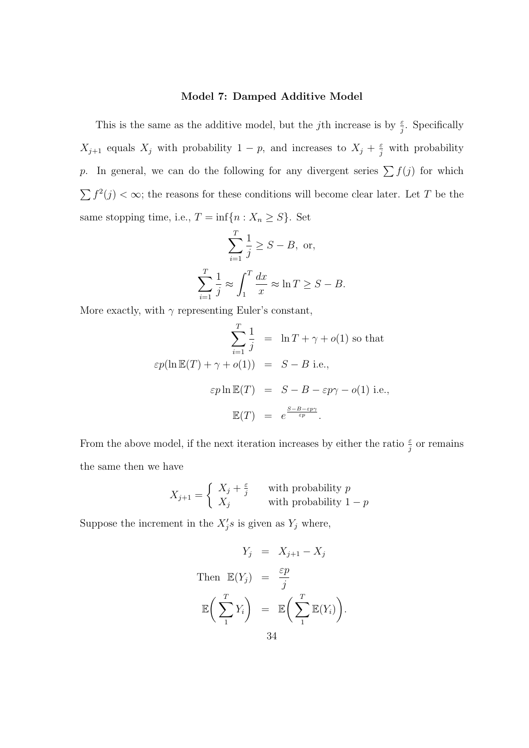#### **Model 7: Damped Additive Model**

This is the same as the additive model, but the *j*th increase is by  $\frac{\varepsilon}{j}$ . Specifically *X*<sub>*j*+1</sub> equals *X*<sup>*j*</sup> with probability 1 *− p*, and increases to *X*<sup>*j*</sup> +  $\frac{\varepsilon}{j}$  with probability *p*. In general, we can do the following for any divergent series  $\sum f(j)$  for which  $\sum f^2(j) < \infty$ ; the reasons for these conditions will become clear later. Let *T* be the same stopping time, i.e.,  $T = \inf\{n : X_n \geq S\}$ . Set

$$
\sum_{i=1}^{T} \frac{1}{j} \ge S - B, \text{ or,}
$$

$$
\sum_{i=1}^{T} \frac{1}{j} \approx \int_{1}^{T} \frac{dx}{x} \approx \ln T \ge S - B.
$$

More exactly, with  $\gamma$  representing Euler's constant,

$$
\sum_{i=1}^{T} \frac{1}{j} = \ln T + \gamma + o(1) \text{ so that}
$$

$$
\varepsilon p(\ln \mathbb{E}(T) + \gamma + o(1)) = S - B \text{ i.e.,}
$$

$$
\varepsilon p \ln \mathbb{E}(T) = S - B - \varepsilon p \gamma - o(1) \text{ i.e.,}
$$

$$
\mathbb{E}(T) = e^{\frac{S - B - \varepsilon p \gamma}{\varepsilon p}}.
$$

From the above model, if the next iteration increases by either the ratio  $\frac{\varepsilon}{j}$  or remains the same then we have

$$
X_{j+1} = \begin{cases} X_j + \frac{\varepsilon}{j} & \text{with probability } p \\ X_j & \text{with probability } 1 - p \end{cases}
$$

Suppose the increment in the  $X'_j s$  is given as  $Y_j$  where,

$$
Y_j = X_{j+1} - X_j
$$
  
Then  $\mathbb{E}(Y_j) = \frac{\varepsilon p}{j}$   

$$
\mathbb{E}\left(\sum_{1}^{T} Y_i\right) = \mathbb{E}\left(\sum_{1}^{T} \mathbb{E}(Y_i)\right).
$$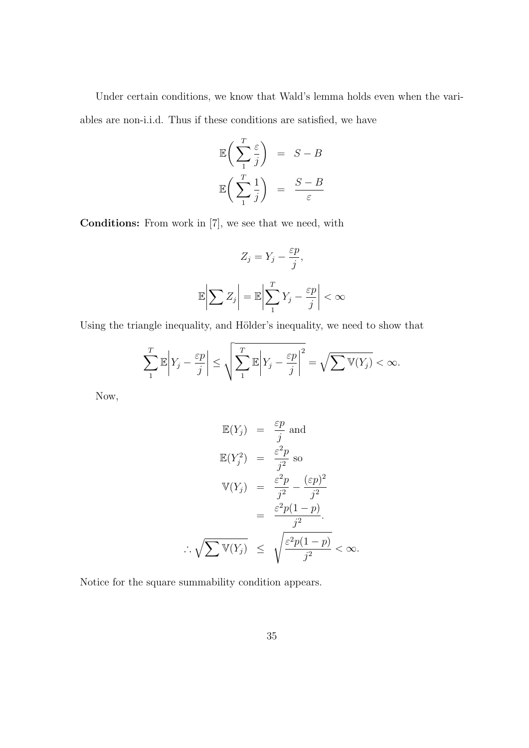Under certain conditions, we know that Wald's lemma holds even when the variables are non-i.i.d. Thus if these conditions are satisfied, we have

$$
\mathbb{E}\left(\sum_{1}^{T} \frac{\varepsilon}{j}\right) = S - B
$$

$$
\mathbb{E}\left(\sum_{1}^{T} \frac{1}{j}\right) = \frac{S - B}{\varepsilon}
$$

**Conditions:** From work in [7], we see that we need, with

$$
Z_j = Y_j - \frac{\varepsilon p}{j},
$$
  

$$
\mathbb{E}\left|\sum Z_j\right| = \mathbb{E}\left|\sum_{1}^{T} Y_j - \frac{\varepsilon p}{j}\right| < \infty
$$

Using the triangle inequality, and Hölder's inequality, we need to show that

$$
\sum_{1}^{T} \mathbb{E} \left| Y_j - \frac{\varepsilon p}{j} \right| \leq \sqrt{\sum_{1}^{T} \mathbb{E} \left| Y_j - \frac{\varepsilon p}{j} \right|^2} = \sqrt{\sum \mathbb{V}(Y_j)} < \infty.
$$

Now,

$$
\mathbb{E}(Y_j) = \frac{\varepsilon p}{j} \text{ and}
$$
  
\n
$$
\mathbb{E}(Y_j^2) = \frac{\varepsilon^2 p}{j^2} \text{ so}
$$
  
\n
$$
\mathbb{V}(Y_j) = \frac{\varepsilon^2 p}{j^2} - \frac{(\varepsilon p)^2}{j^2}
$$
  
\n
$$
= \frac{\varepsilon^2 p (1-p)}{j^2}.
$$
  
\n
$$
\therefore \sqrt{\sum \mathbb{V}(Y_j)} \le \sqrt{\frac{\varepsilon^2 p (1-p)}{j^2}} < \infty.
$$

Notice for the square summability condition appears.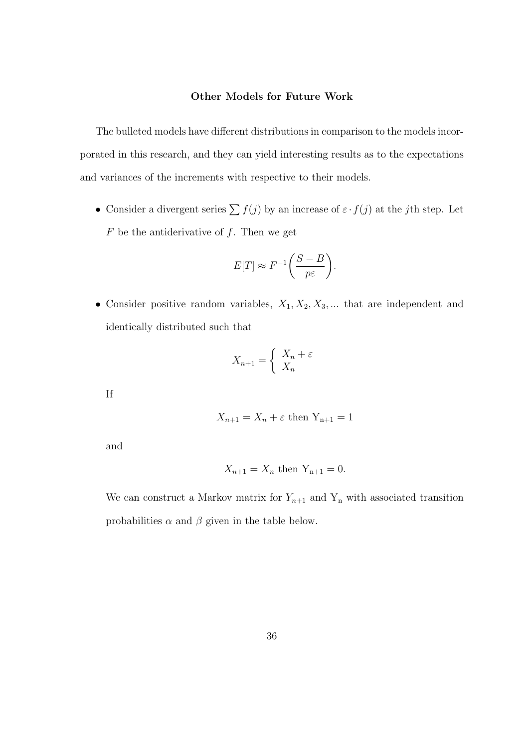#### **Other Models for Future Work**

The bulleted models have different distributions in comparison to the models incorporated in this research, and they can yield interesting results as to the expectations and variances of the increments with respective to their models.

**•** Consider a divergent series  $\sum f(j)$  by an increase of  $\varepsilon \cdot f(j)$  at the *j*th step. Let  $F$  be the antiderivative of  $f$  . Then we get

$$
E[T] \approx F^{-1}\bigg(\frac{S-B}{p\varepsilon}\bigg).
$$

*•* Consider positive random variables, *X*1*, X*2*, X*3*, ...* that are independent and identically distributed such that

$$
X_{n+1} = \begin{cases} X_n + \varepsilon \\ X_n \end{cases}
$$

If

$$
X_{n+1} = X_n + \varepsilon
$$
 then  $Y_{n+1} = 1$ 

and

$$
X_{n+1} = X_n
$$
 then  $Y_{n+1} = 0$ .

We can construct a Markov matrix for  $Y_{n+1}$  and  $Y_n$  with associated transition probabilities  $\alpha$  and  $\beta$  given in the table below.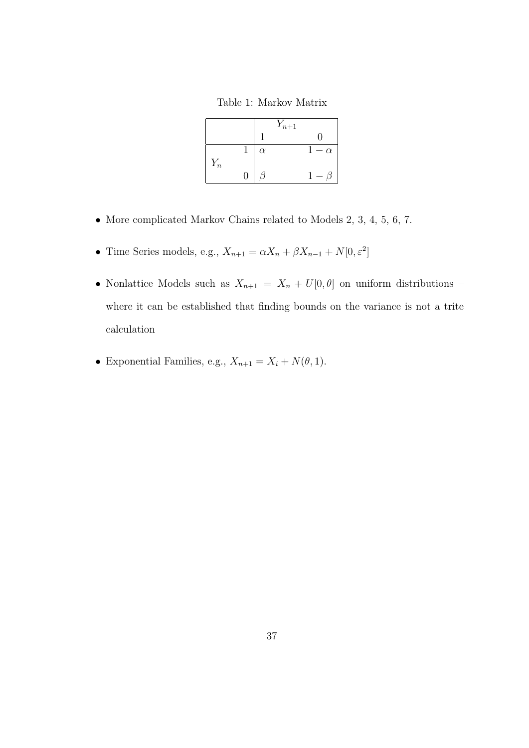Table 1: Markov Matrix

|       |   |          | $Y_{n+1}$ |           |
|-------|---|----------|-----------|-----------|
|       |   |          |           |           |
|       |   | $\alpha$ |           | $-\alpha$ |
| $Y_n$ |   |          |           |           |
|       | 0 |          |           |           |

- *•* More complicated Markov Chains related to Models 2, 3, 4, 5, 6, 7.
- *•* Time Series models, e.g.,  $X_{n+1} = \alpha X_n + \beta X_{n-1} + N[0, \varepsilon^2]$
- Nonlattice Models such as  $X_{n+1} = X_n + U[0, \theta]$  on uniform distributions where it can be established that finding bounds on the variance is not a trite calculation
- Exponential Families, e.g.,  $X_{n+1} = X_i + N(\theta, 1)$ .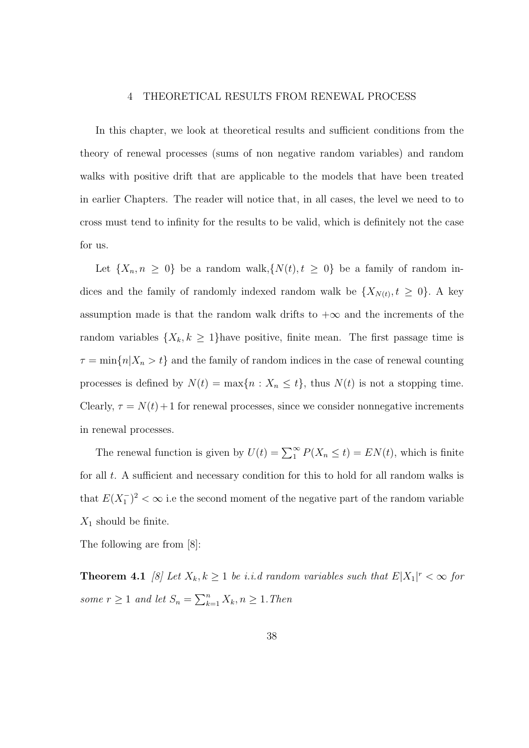#### 4 THEORETICAL RESULTS FROM RENEWAL PROCESS

In this chapter, we look at theoretical results and sufficient conditions from the theory of renewal processes (sums of non negative random variables) and random walks with positive drift that are applicable to the models that have been treated in earlier Chapters. The reader will notice that, in all cases, the level we need to to cross must tend to infinity for the results to be valid, which is definitely not the case for us.

Let  $\{X_n, n \geq 0\}$  be a random walk, $\{N(t), t \geq 0\}$  be a family of random indices and the family of randomly indexed random walk be  $\{X_{N(t)}, t \geq 0\}$ . A key assumption made is that the random walk drifts to  $+\infty$  and the increments of the random variables  $\{X_k, k \geq 1\}$ have positive, finite mean. The first passage time is  $\tau = \min\{n | X_n > t\}$  and the family of random indices in the case of renewal counting processes is defined by  $N(t) = \max\{n : X_n \leq t\}$ , thus  $N(t)$  is not a stopping time. Clearly,  $\tau = N(t) + 1$  for renewal processes, since we consider nonnegative increments in renewal processes.

The renewal function is given by  $U(t) = \sum_{1}^{\infty} P(X_n \le t) = EN(t)$ , which is finite for all *t*. A sufficient and necessary condition for this to hold for all random walks is that  $E(X_1^-)^2 < \infty$  i.e the second moment of the negative part of the random variable *X*<sup>1</sup> should be finite.

The following are from [8]:

**Theorem 4.1** *[8] Let*  $X_k, k \geq 1$  *be i.i.d random variables such that*  $E|X_1|^r < \infty$  *for some*  $r \geq 1$  *and let*  $S_n = \sum_{k=1}^n X_k, n \geq 1$ *. Then*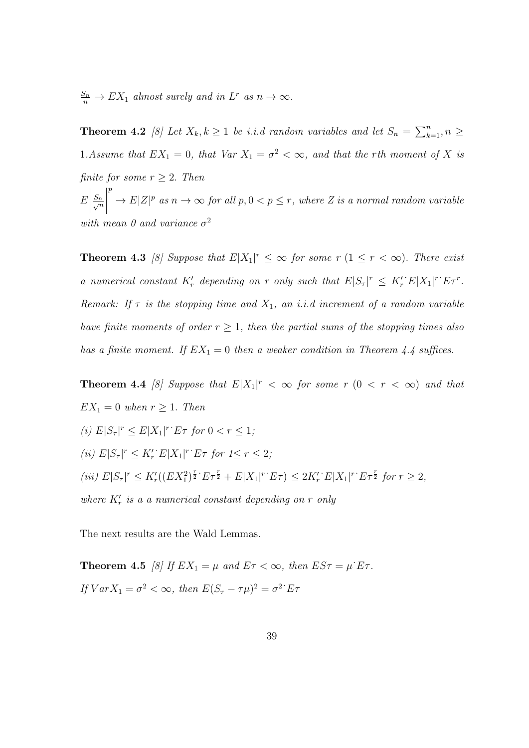$\frac{S_n}{n}$  →  $EX_1$  *almost surely and in*  $L^r$  *as*  $n \to \infty$ *.* 

**Theorem 4.2** [8] Let  $X_k, k \ge 1$  be i.i.d random variables and let  $S_n = \sum_{k=1}^n n \ge 1$ 1.Assume that  $EX_1 = 0$ , that  $Var X_1 = \sigma^2 < \infty$ , and that the rth moment of X is *finite for some*  $r \geq 2$ *. Then E*  $\frac{S_n}{\sqrt{n}}$  *p*  $\rightarrow$  *E*|*Z*|<sup>*p*</sup> *as*  $n \rightarrow \infty$  *for all*  $p, 0 < p \leq r$ , where *Z is a normal random variable with mean 0 and variance*  $\sigma^2$ 

**Theorem 4.3** [8] Suppose that  $E|X_1|^r \leq \infty$  for some  $r$  (1  $\leq r < \infty$ ). There exist a numerical constant  $K'_r$  depending on r only such that  $E|S_\tau|^r \leq K'_r E|X_1|^r E\tau^r$ . *Remark:* If  $\tau$  *is the stopping time and*  $X_1$ *, an i.i.d increment of a random variable have finite moments of order*  $r \geq 1$ *, then the partial sums of the stopping times also has a finite moment. If*  $EX_1 = 0$  *then a weaker condition in Theorem 4.4 suffices.* 

**Theorem 4.4** [8] Suppose that  $E|X_1|^r < \infty$  for some  $r$  (0  $< r < \infty$ ) and that  $EX_1 = 0$  *when*  $r \geq 1$ *. Then*  $(i)$   $E|S_{\tau}|^{r} \leq E|X_1|^{r}$   $E_{\tau}$  for  $0 < r \leq 1$ ;  $f(i)$   $E|S_{\tau}|^{r} \leq K'_{r}$   $E|X_{1}|^{r}$   $E\tau$  for  $1 \leq r \leq 2$ ; (iii)  $E|S_{\tau}|^r \le K'_r((EX_1^2)^{\frac{r}{2}} \cdot E\tau^{\frac{r}{2}} + E|X_1|^r \cdot E\tau) \le 2K'_r \cdot E|X_1|^r \cdot E\tau^{\frac{r}{2}}$  for  $r \ge 2$ , *where*  $K'_r$  *is a a numerical constant depending on r only* 

The next results are the Wald Lemmas.

**Theorem 4.5** *[8] If*  $EX_1 = \mu$  *and*  $E\tau < \infty$ *, then*  $ES\tau = \mu$   $E\tau$ *. If*  $Var X_1 = \sigma^2 < \infty$ , then  $E(S_\tau - \tau \mu)^2 = \sigma^2 E \tau$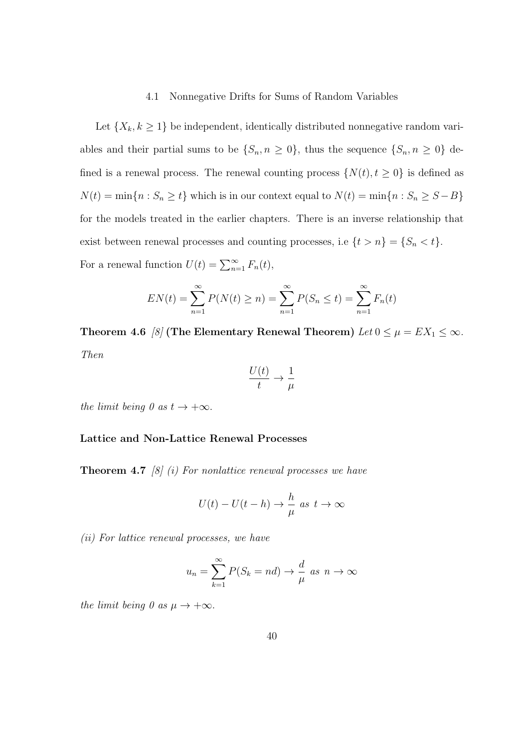#### 4.1 Nonnegative Drifts for Sums of Random Variables

Let  $\{X_k, k \geq 1\}$  be independent, identically distributed nonnegative random variables and their partial sums to be  $\{S_n, n \geq 0\}$ , thus the sequence  $\{S_n, n \geq 0\}$  defined is a renewal process. The renewal counting process  $\{N(t), t \ge 0\}$  is defined as  $N(t) = \min\{n : S_n \ge t\}$  which is in our context equal to  $N(t) = \min\{n : S_n \ge S - B\}$ for the models treated in the earlier chapters. There is an inverse relationship that exist between renewal processes and counting processes, i.e  $\{t > n\} = \{S_n < t\}.$ For a renewal function  $U(t) = \sum_{n=1}^{\infty} F_n(t)$ ,

$$
EN(t) = \sum_{n=1}^{\infty} P(N(t) \ge n) = \sum_{n=1}^{\infty} P(S_n \le t) = \sum_{n=1}^{\infty} F_n(t)
$$

**Theorem 4.6** *[8]* **(The Elementary Renewal Theorem)**  $Let$   $0 \le \mu = EX_1 \le \infty$ . *Then*

$$
\frac{U(t)}{t} \to \frac{1}{\mu}
$$

*the limit being*  $0$  *as*  $t \rightarrow +\infty$ *.* 

#### **Lattice and Non-Lattice Renewal Processes**

**Theorem 4.7** *[8] (i) For nonlattice renewal processes we have*

$$
U(t) - U(t - h) \to \frac{h}{\mu} \text{ as } t \to \infty
$$

*(ii) For lattice renewal processes, we have*

$$
u_n = \sum_{k=1}^{\infty} P(S_k = nd) \to \frac{d}{\mu} \text{ as } n \to \infty
$$

*the limit being*  $0$  *as*  $\mu \rightarrow +\infty$ *.*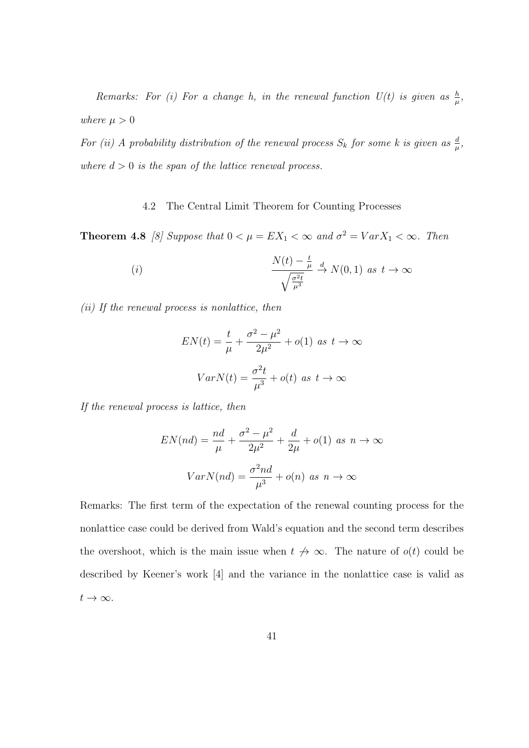*Remarks: For (i) For a change h, in the renewal function*  $U(t)$  *is given as*  $\frac{h}{\mu}$ , *where*  $\mu > 0$ 

*For (ii)* A probability distribution of the renewal process  $S_k$  for some k is given as  $\frac{d}{\mu}$ , *where d >* 0 *is the span of the lattice renewal process.*

#### 4.2 The Central Limit Theorem for Counting Processes

**Theorem 4.8** [8] Suppose that  $0 < \mu = EX_1 < \infty$  and  $\sigma^2 = Var X_1 < \infty$ . Then

(i) 
$$
\frac{N(t) - \frac{t}{\mu}}{\sqrt{\frac{\sigma^2 t}{\mu^3}}} \stackrel{d}{\to} N(0, 1) \text{ as } t \to \infty
$$

*(ii) If the renewal process is nonlattice, then*

$$
EN(t) = \frac{t}{\mu} + \frac{\sigma^2 - \mu^2}{2\mu^2} + o(1) \text{ as } t \to \infty
$$

$$
VarN(t) = \frac{\sigma^2 t}{\mu^3} + o(t) \text{ as } t \to \infty
$$

*If the renewal process is lattice, then*

$$
EN(nd) = \frac{nd}{\mu} + \frac{\sigma^2 - \mu^2}{2\mu^2} + \frac{d}{2\mu} + o(1) \text{ as } n \to \infty
$$

$$
VarN(nd) = \frac{\sigma^2 nd}{\mu^3} + o(n) \text{ as } n \to \infty
$$

Remarks: The first term of the expectation of the renewal counting process for the nonlattice case could be derived from Wald's equation and the second term describes the overshoot, which is the main issue when  $t \nrightarrow \infty$ . The nature of  $o(t)$  could be described by Keener's work [4] and the variance in the nonlattice case is valid as *t → ∞*.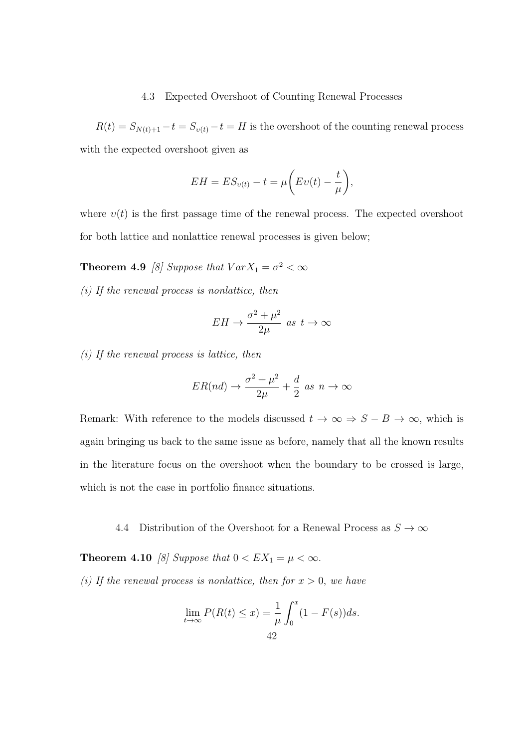#### 4.3 Expected Overshoot of Counting Renewal Processes

 $R(t) = S_{N(t)+1} - t = S_{\nu(t)} - t = H$  is the overshoot of the counting renewal process with the expected overshoot given as

$$
EH = ES_{v(t)} - t = \mu \bigg( Ev(t) - \frac{t}{\mu} \bigg),
$$

where  $v(t)$  is the first passage time of the renewal process. The expected overshoot for both lattice and nonlattice renewal processes is given below;

**Theorem 4.9** [8] Suppose that  $Var X_1 = \sigma^2 < \infty$ 

*(i) If the renewal process is nonlattice, then*

$$
EH \to \frac{\sigma^2 + \mu^2}{2\mu} \text{ as } t \to \infty
$$

*(i) If the renewal process is lattice, then*

$$
ER(nd) \rightarrow \frac{\sigma^2 + \mu^2}{2\mu} + \frac{d}{2} \text{ as } n \rightarrow \infty
$$

Remark: With reference to the models discussed  $t \to \infty \Rightarrow S - B \to \infty$ , which is again bringing us back to the same issue as before, namely that all the known results in the literature focus on the overshoot when the boundary to be crossed is large, which is not the case in portfolio finance situations.

4.4 Distribution of the Overshoot for a Renewal Process as  $S \to \infty$ 

**Theorem 4.10** *[8] Suppose that*  $0 < EX_1 = \mu < \infty$ *.* 

*(i) If the renewal process is nonlattice, then for*  $x > 0$ *, we have* 

$$
\lim_{t \to \infty} P(R(t) \le x) = \frac{1}{\mu} \int_0^x (1 - F(s)) ds.
$$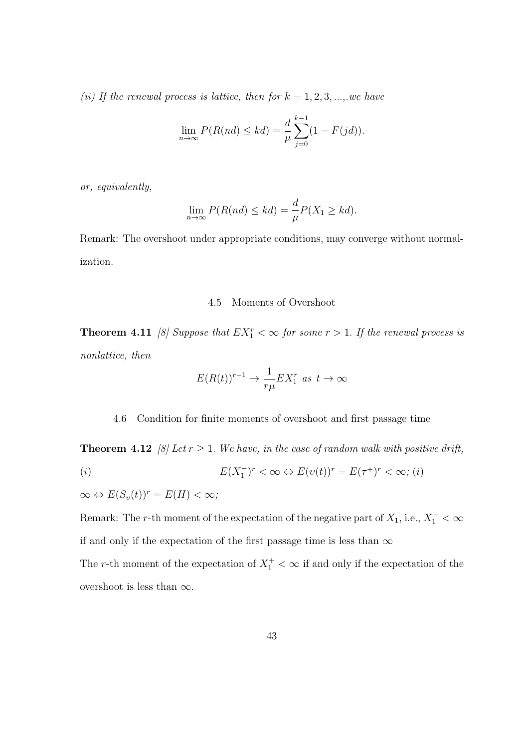*(ii)* If the renewal process is lattice, then for  $k = 1, 2, 3, \ldots$ *, we have* 

$$
\lim_{n \to \infty} P(R(nd) \le kd) = \frac{d}{\mu} \sum_{j=0}^{k-1} (1 - F(jd)).
$$

*or, equivalently,*

$$
\lim_{n \to \infty} P(R(nd) \le kd) = \frac{d}{\mu} P(X_1 \ge kd).
$$

Remark: The overshoot under appropriate conditions, may converge without normalization.

#### 4.5 Moments of Overshoot

**Theorem 4.11** [8] Suppose that  $EX_1^r < \infty$  for some  $r > 1$ . If the renewal process is *nonlattice, then*

$$
E(R(t))^{r-1} \to \frac{1}{r\mu} EX_1^r \text{ as } t \to \infty
$$

4.6 Condition for finite moments of overshoot and first passage time

**Theorem 4.12** *[8] Let*  $r \geq 1$ *. We have, in the case of random walk with positive drift,* (*i*)  $E(X_1^-)^r < \infty \Leftrightarrow E(v(t))^r = E(\tau^+)^r < \infty;$  (*i*)

 $\infty \Leftrightarrow E(S_v(t))^r = E(H) < \infty;$ 

Remark: The *r*-th moment of the expectation of the negative part of  $X_1$ , i.e.,  $X_1^ < \infty$ if and only if the expectation of the first passage time is less than  $\infty$ 

The *r*-th moment of the expectation of  $X_1^+ < \infty$  if and only if the expectation of the overshoot is less than *∞*.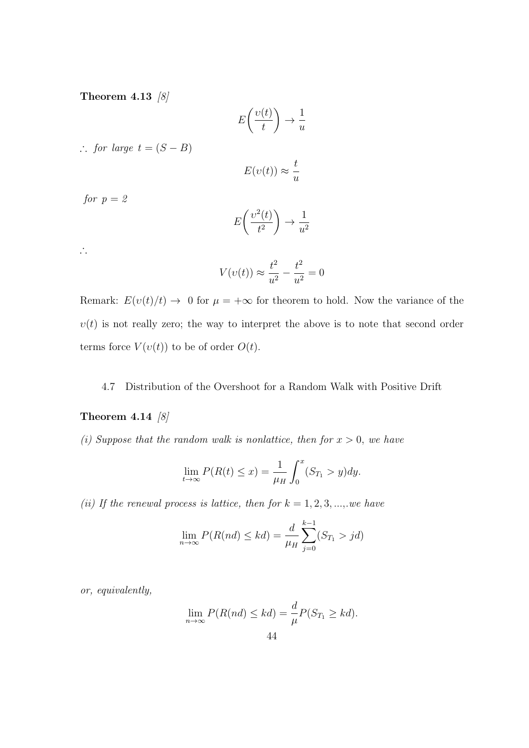**Theorem 4.13** *[8]*

$$
E\!\left(\frac{v(t)}{t}\right)\to \frac{1}{u}
$$

∴ *for large*  $t = (S - B)$ 

$$
E(v(t)) \approx \frac{t}{u}
$$

*for*  $p = 2$ 

$$
E\left(\frac{\upsilon^2(t)}{t^2}\right) \to \frac{1}{u^2}
$$

∴

$$
V(v(t)) \approx \frac{t^2}{u^2} - \frac{t^2}{u^2} = 0
$$

Remark:  $E(v(t)/t) \rightarrow 0$  for  $\mu = +\infty$  for theorem to hold. Now the variance of the  $v(t)$  is not really zero; the way to interpret the above is to note that second order terms force  $V(v(t))$  to be of order  $O(t)$ .

## 4.7 Distribution of the Overshoot for a Random Walk with Positive Drift

# **Theorem 4.14** *[8]*

*(i) Suppose that the random walk is nonlattice, then for*  $x > 0$ *, we have* 

$$
\lim_{t \to \infty} P(R(t) \le x) = \frac{1}{\mu_H} \int_0^x (S_{T_1} > y) dy.
$$

*(ii)* If the renewal process is lattice, then for  $k = 1, 2, 3, \ldots$ *, we have* 

$$
\lim_{n \to \infty} P(R(nd) \le kd) = \frac{d}{\mu_H} \sum_{j=0}^{k-1} (S_{T_1} > jd)
$$

*or, equivalently,*

$$
\lim_{n \to \infty} P(R(nd) \le kd) = \frac{d}{\mu} P(S_{T_1} \ge kd).
$$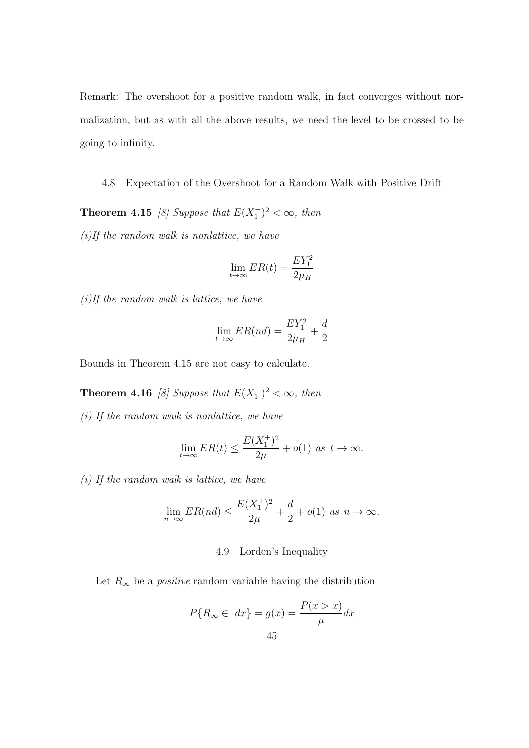Remark: The overshoot for a positive random walk, in fact converges without normalization, but as with all the above results, we need the level to be crossed to be going to infinity.

## 4.8 Expectation of the Overshoot for a Random Walk with Positive Drift

**Theorem 4.15** *[8] Suppose that*  $E(X_1^+)^2 < \infty$ *, then (i)If the random walk is nonlattice, we have*

$$
\lim_{t \to \infty} ER(t) = \frac{EY_1^2}{2\mu_H}
$$

*(i)If the random walk is lattice, we have*

$$
\lim_{t \to \infty} ER(nd) = \frac{EY_1^2}{2\mu_H} + \frac{d}{2}
$$

Bounds in Theorem 4.15 are not easy to calculate.

**Theorem 4.16** *[8] Suppose that*  $E(X_1^+)^2 < \infty$ *, then (i) If the random walk is nonlattice, we have*

$$
\lim_{t \to \infty} ER(t) \le \frac{E(X_1^+)^2}{2\mu} + o(1) \text{ as } t \to \infty.
$$

*(i) If the random walk is lattice, we have*

$$
\lim_{n \to \infty} ER(nd) \le \frac{E(X_1^+)^2}{2\mu} + \frac{d}{2} + o(1) \text{ as } n \to \infty.
$$

# 4.9 Lorden's Inequality

Let  $R_\infty$  be a *positive* random variable having the distribution

$$
P\{R_{\infty} \in dx\} = g(x) = \frac{P(x > x)}{\mu} dx
$$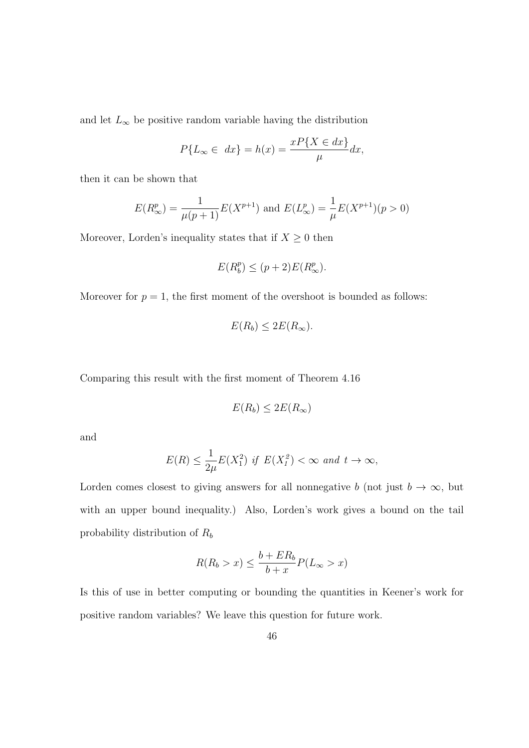and let  $L_{\infty}$  be positive random variable having the distribution

$$
P\{L_{\infty} \in dx\} = h(x) = \frac{xP\{X \in dx\}}{\mu} dx,
$$

then it can be shown that

$$
E(R_{\infty}^p) = \frac{1}{\mu(p+1)} E(X^{p+1})
$$
 and  $E(L_{\infty}^p) = \frac{1}{\mu} E(X^{p+1})(p>0)$ 

Moreover, Lorden's inequality states that if  $X \geq 0$  then

$$
E(R_b^p) \le (p+2)E(R_\infty^p).
$$

Moreover for  $p = 1$ , the first moment of the overshoot is bounded as follows:

$$
E(R_b) \leq 2E(R_{\infty}).
$$

Comparing this result with the first moment of Theorem 4.16

$$
E(R_b) \leq 2E(R_{\infty})
$$

and

$$
E(R) \le \frac{1}{2\mu} E(X_1^2) \text{ if } E(X_1^2) < \infty \text{ and } t \to \infty,
$$

Lorden comes closest to giving answers for all nonnegative *b* (not just  $b \to \infty$ , but with an upper bound inequality.) Also, Lorden's work gives a bound on the tail probability distribution of *R<sup>b</sup>*

$$
R(R_b > x) \le \frac{b + ER_b}{b + x} P(L_{\infty} > x)
$$

Is this of use in better computing or bounding the quantities in Keener's work for positive random variables? We leave this question for future work.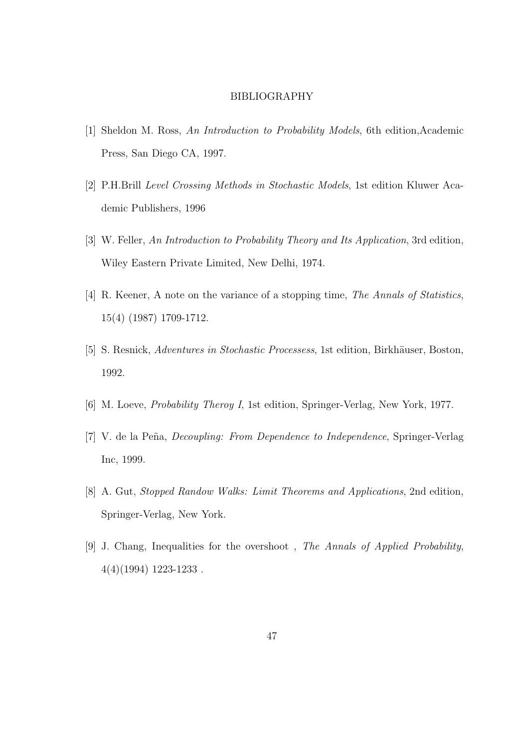#### BIBLIOGRAPHY

- [1] Sheldon M. Ross, *An Introduction to Probability Models*, 6th edition,Academic Press, San Diego CA, 1997.
- [2] P.H.Brill *Level Crossing Methods in Stochastic Models*, 1st edition Kluwer Academic Publishers, 1996
- [3] W. Feller, *An Introduction to Probability Theory and Its Application*, 3rd edition, Wiley Eastern Private Limited, New Delhi, 1974.
- [4] R. Keener, A note on the variance of a stopping time, *The Annals of Statistics*, 15(4) (1987) 1709-1712.
- [5] S. Resnick, *Adventures in Stochastic Processess*, 1st edition, Birkhäuser, Boston, 1992.
- [6] M. Loeve, *Probability Theroy I*, 1st edition, Springer-Verlag, New York, 1977.
- [7] V. de la Peña, *Decoupling: From Dependence to Independence*, Springer-Verlag Inc, 1999.
- [8] A. Gut, *Stopped Randow Walks: Limit Theorems and Applications*, 2nd edition, Springer-Verlag, New York.
- [9] J. Chang, Inequalities for the overshoot , *The Annals of Applied Probability*, 4(4)(1994) 1223-1233 .